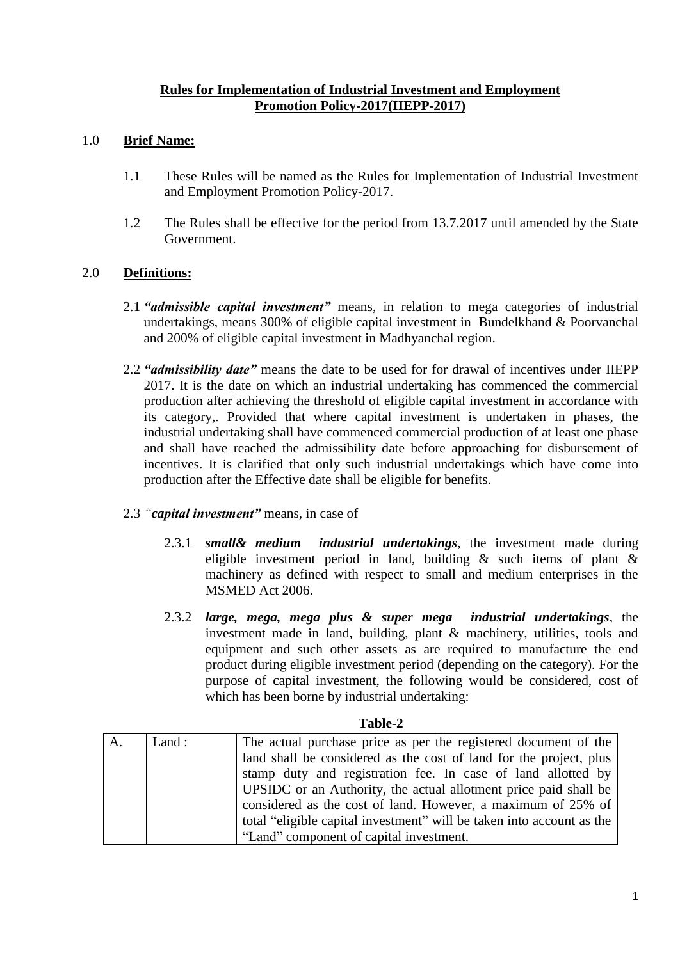#### **Rules for Implementation of Industrial Investment and Employment Promotion Policy-2017(IIEPP-2017)**

## 1.0 **Brief Name:**

- 1.1 These Rules will be named as the Rules for Implementation of Industrial Investment and Employment Promotion Policy-2017.
- 1.2 The Rules shall be effective for the period from 13.7.2017 until amended by the State Government.

#### 2.0 **Definitions:**

- 2.1 *"admissible capital investment"* means, in relation to mega categories of industrial undertakings, means 300% of eligible capital investment in Bundelkhand & Poorvanchal and 200% of eligible capital investment in Madhyanchal region.
- 2.2 *"admissibility date"* means the date to be used for for drawal of incentives under IIEPP 2017. It is the date on which an industrial undertaking has commenced the commercial production after achieving the threshold of eligible capital investment in accordance with its category,. Provided that where capital investment is undertaken in phases, the industrial undertaking shall have commenced commercial production of at least one phase and shall have reached the admissibility date before approaching for disbursement of incentives. It is clarified that only such industrial undertakings which have come into production after the Effective date shall be eligible for benefits.

#### 2.3 *"capital investment"* means, in case of

- 2.3.1 *small& medium industrial undertakings*, the investment made during eligible investment period in land, building & such items of plant & machinery as defined with respect to small and medium enterprises in the MSMED Act 2006.
- 2.3.2 *large, mega, mega plus & super mega industrial undertakings*, the investment made in land, building, plant & machinery, utilities, tools and equipment and such other assets as are required to manufacture the end product during eligible investment period (depending on the category). For the purpose of capital investment, the following would be considered, cost of which has been borne by industrial undertaking:

| A. | Land : | The actual purchase price as per the registered document of the       |
|----|--------|-----------------------------------------------------------------------|
|    |        | land shall be considered as the cost of land for the project, plus    |
|    |        | stamp duty and registration fee. In case of land allotted by          |
|    |        | UPSIDC or an Authority, the actual allotment price paid shall be      |
|    |        | considered as the cost of land. However, a maximum of 25% of          |
|    |        | total "eligible capital investment" will be taken into account as the |
|    |        | "Land" component of capital investment.                               |

#### **Table-2**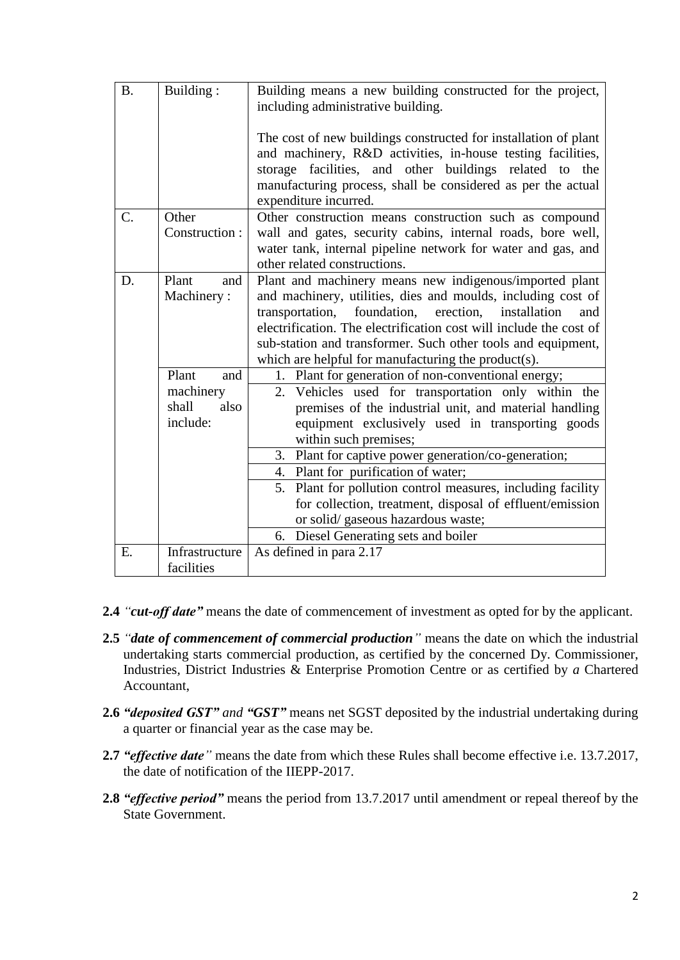| <b>B.</b>        | Building:                  | Building means a new building constructed for the project,<br>including administrative building.                                                                                                                                                                                  |  |  |  |  |
|------------------|----------------------------|-----------------------------------------------------------------------------------------------------------------------------------------------------------------------------------------------------------------------------------------------------------------------------------|--|--|--|--|
|                  |                            | The cost of new buildings constructed for installation of plant<br>and machinery, R&D activities, in-house testing facilities,<br>storage facilities, and other buildings related to the<br>manufacturing process, shall be considered as per the actual<br>expenditure incurred. |  |  |  |  |
| $\overline{C}$ . | Other                      | Other construction means construction such as compound                                                                                                                                                                                                                            |  |  |  |  |
|                  | Construction:              | wall and gates, security cabins, internal roads, bore well,                                                                                                                                                                                                                       |  |  |  |  |
|                  |                            | water tank, internal pipeline network for water and gas, and<br>other related constructions.                                                                                                                                                                                      |  |  |  |  |
| D.               | Plant<br>and               | Plant and machinery means new indigenous/imported plant                                                                                                                                                                                                                           |  |  |  |  |
|                  | Machinery:                 | and machinery, utilities, dies and moulds, including cost of                                                                                                                                                                                                                      |  |  |  |  |
|                  |                            | transportation, foundation, erection, installation<br>and                                                                                                                                                                                                                         |  |  |  |  |
|                  |                            | electrification. The electrification cost will include the cost of                                                                                                                                                                                                                |  |  |  |  |
|                  |                            | sub-station and transformer. Such other tools and equipment,                                                                                                                                                                                                                      |  |  |  |  |
|                  |                            | which are helpful for manufacturing the product(s).                                                                                                                                                                                                                               |  |  |  |  |
|                  | Plant<br>and               | 1. Plant for generation of non-conventional energy;                                                                                                                                                                                                                               |  |  |  |  |
|                  | machinery<br>shall<br>also | 2. Vehicles used for transportation only within the                                                                                                                                                                                                                               |  |  |  |  |
|                  | include:                   | premises of the industrial unit, and material handling<br>equipment exclusively used in transporting goods                                                                                                                                                                        |  |  |  |  |
|                  |                            | within such premises;                                                                                                                                                                                                                                                             |  |  |  |  |
|                  |                            | 3. Plant for captive power generation/co-generation;                                                                                                                                                                                                                              |  |  |  |  |
|                  |                            | 4. Plant for purification of water;                                                                                                                                                                                                                                               |  |  |  |  |
|                  |                            | 5. Plant for pollution control measures, including facility                                                                                                                                                                                                                       |  |  |  |  |
|                  |                            | for collection, treatment, disposal of effluent/emission                                                                                                                                                                                                                          |  |  |  |  |
|                  |                            | or solid/gaseous hazardous waste;                                                                                                                                                                                                                                                 |  |  |  |  |
|                  |                            | 6. Diesel Generating sets and boiler                                                                                                                                                                                                                                              |  |  |  |  |
| E.               | Infrastructure             | As defined in para 2.17                                                                                                                                                                                                                                                           |  |  |  |  |
|                  | facilities                 |                                                                                                                                                                                                                                                                                   |  |  |  |  |

- **2.4** *"cut-off date"* means the date of commencement of investment as opted for by the applicant.
- **2.5** *"date of commencement of commercial production"* means the date on which the industrial undertaking starts commercial production, as certified by the concerned Dy. Commissioner, Industries*,* District Industries & Enterprise Promotion Centre or as certified by *a* Chartered Accountant,
- **2.6** *"deposited GST" and "GST"* means net SGST deposited by the industrial undertaking during a quarter or financial year as the case may be.
- **2.7** *"effective date"* means the date from which these Rules shall become effective i.e. 13.7.2017, the date of notification of the IIEPP-2017.
- **2.8** *"effective period"* means the period from 13.7.2017 until amendment or repeal thereof by the State Government.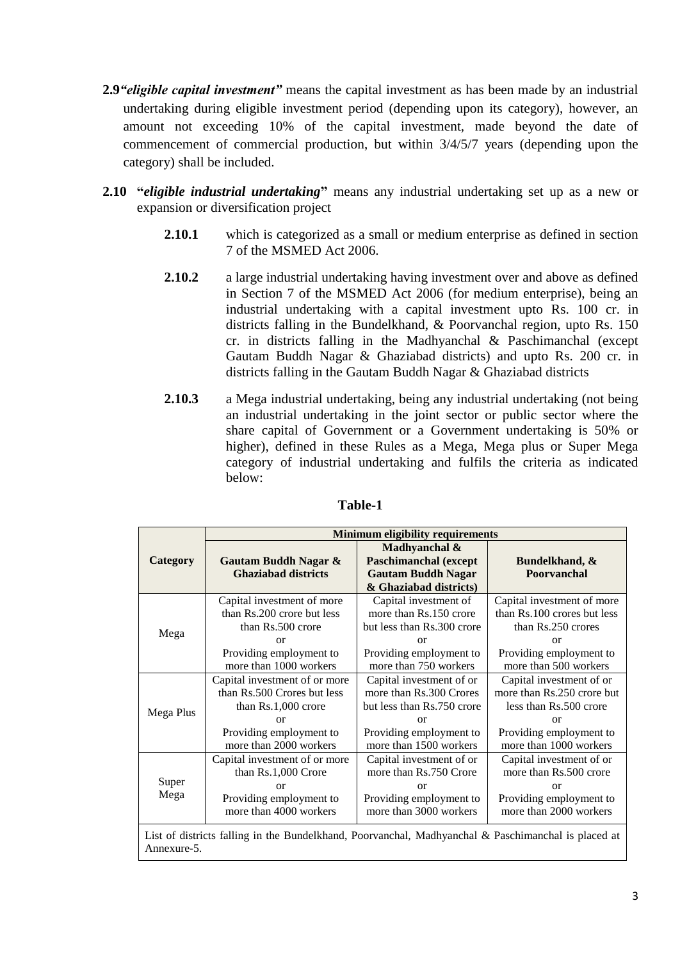- **2.9***"eligible capital investment"* means the capital investment as has been made by an industrial undertaking during eligible investment period (depending upon its category), however, an amount not exceeding 10% of the capital investment, made beyond the date of commencement of commercial production, but within 3/4/5/7 years (depending upon the category) shall be included.
- **2.10 "***eligible industrial undertaking***"** means any industrial undertaking set up as a new or expansion or diversification project
	- **2.10.1** which is categorized as a small or medium enterprise as defined in section 7 of the MSMED Act 2006.
	- **2.10.2** a large industrial undertaking having investment over and above as defined in Section 7 of the MSMED Act 2006 (for medium enterprise), being an industrial undertaking with a capital investment upto Rs. 100 cr. in districts falling in the Bundelkhand, & Poorvanchal region, upto Rs. 150 cr. in districts falling in the Madhyanchal & Paschimanchal (except Gautam Buddh Nagar & Ghaziabad districts) and upto Rs. 200 cr. in districts falling in the Gautam Buddh Nagar & Ghaziabad districts
	- **2.10.3** a Mega industrial undertaking, being any industrial undertaking (not being an industrial undertaking in the joint sector or public sector where the share capital of Government or a Government undertaking is 50% or higher), defined in these Rules as a Mega, Mega plus or Super Mega category of industrial undertaking and fulfils the criteria as indicated below:

|                                                                                                                    | <b>Minimum eligibility requirements</b>            |                                                                                                      |                               |  |  |  |
|--------------------------------------------------------------------------------------------------------------------|----------------------------------------------------|------------------------------------------------------------------------------------------------------|-------------------------------|--|--|--|
| Category                                                                                                           | Gautam Buddh Nagar &<br><b>Ghaziabad districts</b> | Madhyanchal &<br><b>Paschimanchal</b> (except<br><b>Gautam Buddh Nagar</b><br>& Ghaziabad districts) | Bundelkhand, &<br>Poorvanchal |  |  |  |
|                                                                                                                    | Capital investment of more                         | Capital investment of                                                                                | Capital investment of more    |  |  |  |
|                                                                                                                    | than Rs.200 crore but less                         | more than Rs.150 crore                                                                               | than Rs.100 crores but less   |  |  |  |
| Mega                                                                                                               | than Rs.500 crore                                  | but less than Rs.300 crore                                                                           | than Rs.250 crores            |  |  |  |
|                                                                                                                    | $\alpha$                                           | $\alpha$                                                                                             | $\alpha$                      |  |  |  |
|                                                                                                                    | Providing employment to                            | Providing employment to                                                                              | Providing employment to       |  |  |  |
|                                                                                                                    | more than 1000 workers                             | more than 750 workers                                                                                | more than 500 workers         |  |  |  |
|                                                                                                                    | Capital investment of or more                      | Capital investment of or                                                                             | Capital investment of or      |  |  |  |
|                                                                                                                    | than Rs.500 Crores but less                        | more than Rs.300 Crores                                                                              | more than Rs.250 crore but    |  |  |  |
| Mega Plus                                                                                                          | than Rs.1,000 crore                                | but less than Rs.750 crore                                                                           | less than Rs.500 crore        |  |  |  |
|                                                                                                                    | $\alpha$                                           | or                                                                                                   | $\alpha$                      |  |  |  |
|                                                                                                                    | Providing employment to                            | Providing employment to                                                                              | Providing employment to       |  |  |  |
|                                                                                                                    | more than 2000 workers                             | more than 1500 workers                                                                               | more than 1000 workers        |  |  |  |
|                                                                                                                    | Capital investment of or more                      | Capital investment of or                                                                             | Capital investment of or      |  |  |  |
|                                                                                                                    | than Rs.1,000 Crore                                | more than Rs.750 Crore                                                                               | more than Rs.500 crore        |  |  |  |
| Super                                                                                                              | $\alpha$                                           | or                                                                                                   | or                            |  |  |  |
| Mega                                                                                                               | Providing employment to                            | Providing employment to                                                                              | Providing employment to       |  |  |  |
|                                                                                                                    | more than 4000 workers                             | more than 3000 workers                                                                               | more than 2000 workers        |  |  |  |
| List of districts falling in the Bundelkhand, Poorvanchal, Madhyanchal & Paschimanchal is placed at<br>Annexure-5. |                                                    |                                                                                                      |                               |  |  |  |

#### **Table-1**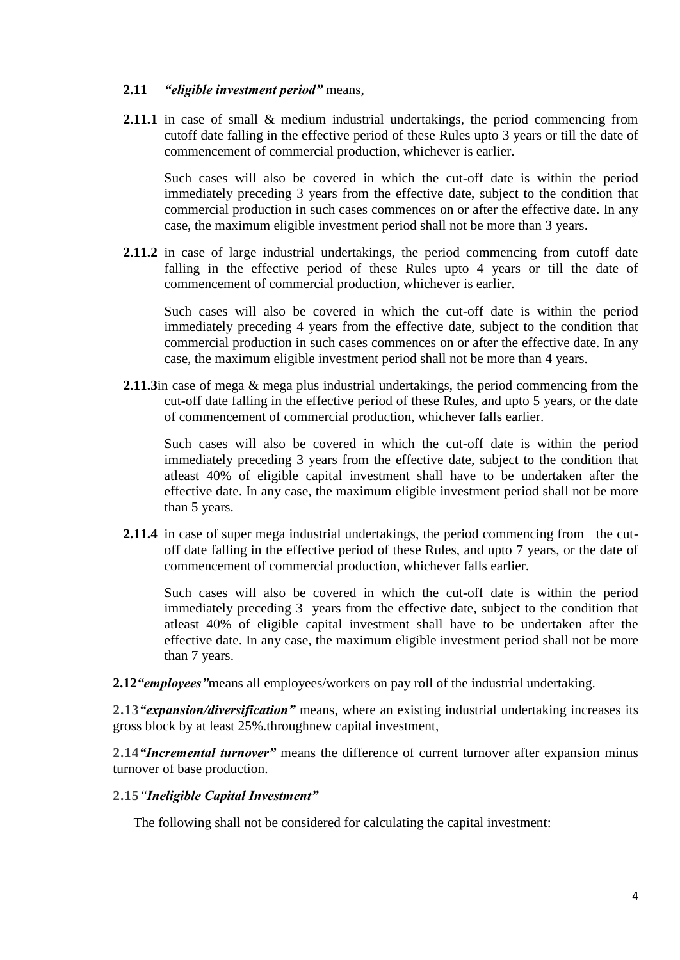### **2.11** *"eligible investment period"* means,

**2.11.1** in case of small & medium industrial undertakings, the period commencing from cutoff date falling in the effective period of these Rules upto 3 years or till the date of commencement of commercial production, whichever is earlier.

Such cases will also be covered in which the cut-off date is within the period immediately preceding 3 years from the effective date, subject to the condition that commercial production in such cases commences on or after the effective date. In any case, the maximum eligible investment period shall not be more than 3 years.

**2.11.2** in case of large industrial undertakings, the period commencing from cutoff date falling in the effective period of these Rules upto 4 years or till the date of commencement of commercial production, whichever is earlier.

Such cases will also be covered in which the cut-off date is within the period immediately preceding 4 years from the effective date, subject to the condition that commercial production in such cases commences on or after the effective date. In any case, the maximum eligible investment period shall not be more than 4 years.

**2.11.3**in case of mega & mega plus industrial undertakings, the period commencing from the cut-off date falling in the effective period of these Rules, and upto 5 years, or the date of commencement of commercial production, whichever falls earlier.

Such cases will also be covered in which the cut-off date is within the period immediately preceding 3 years from the effective date, subject to the condition that atleast 40% of eligible capital investment shall have to be undertaken after the effective date. In any case, the maximum eligible investment period shall not be more than 5 years.

**2.11.4** in case of super mega industrial undertakings, the period commencing from the cutoff date falling in the effective period of these Rules, and upto 7 years, or the date of commencement of commercial production, whichever falls earlier.

Such cases will also be covered in which the cut-off date is within the period immediately preceding 3 years from the effective date, subject to the condition that atleast 40% of eligible capital investment shall have to be undertaken after the effective date. In any case, the maximum eligible investment period shall not be more than 7 years.

**2.12***"employees"*means all employees/workers on pay roll of the industrial undertaking.

**2.13***"expansion/diversification"* means, where an existing industrial undertaking increases its gross block by at least 25%.throughnew capital investment,

**2.14***"Incremental turnover"* means the difference of current turnover after expansion minus turnover of base production.

#### **2.15***"Ineligible Capital Investment"*

The following shall not be considered for calculating the capital investment: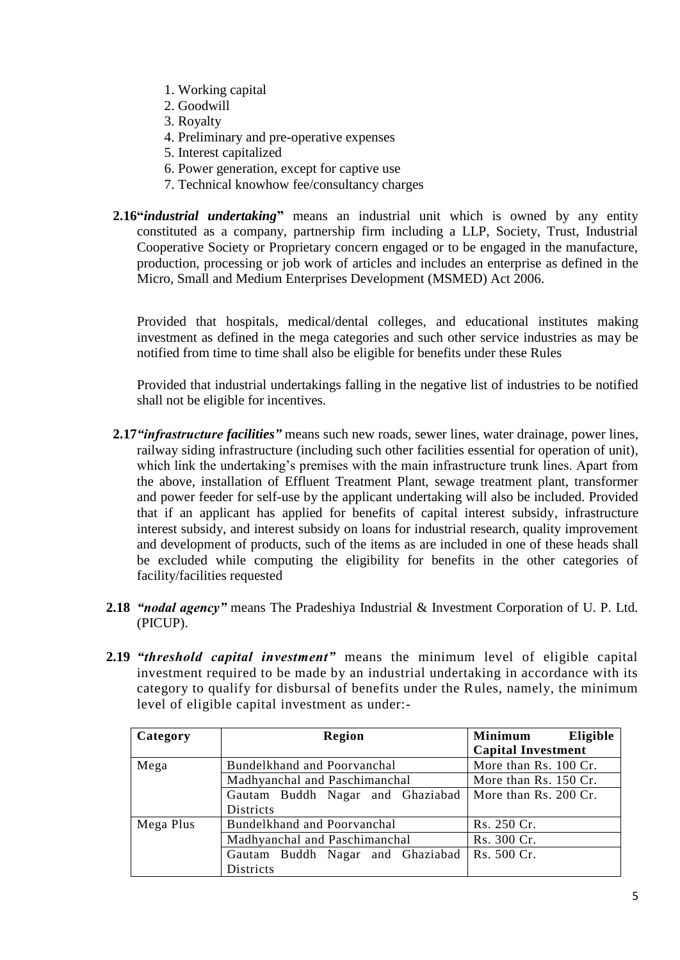- 1. Working capital
- 2. Goodwill
- 3. Royalty
- 4. Preliminary and pre-operative expenses
- 5. Interest capitalized
- 6. Power generation, except for captive use
- 7. Technical knowhow fee/consultancy charges
- **2.16"***industrial undertaking***"** means an industrial unit which is owned by any entity constituted as a company, partnership firm including a LLP, Society, Trust, Industrial Cooperative Society or Proprietary concern engaged or to be engaged in the manufacture, production, processing or job work of articles and includes an enterprise as defined in the Micro, Small and Medium Enterprises Development (MSMED) Act 2006.

Provided that hospitals, medical/dental colleges, and educational institutes making investment as defined in the mega categories and such other service industries as may be notified from time to time shall also be eligible for benefits under these Rules

Provided that industrial undertakings falling in the negative list of industries to be notified shall not be eligible for incentives.

- **2.17***"infrastructure facilities"* means such new roads, sewer lines, water drainage, power lines, railway siding infrastructure (including such other facilities essential for operation of unit), which link the undertaking's premises with the main infrastructure trunk lines. Apart from the above, installation of Effluent Treatment Plant, sewage treatment plant, transformer and power feeder for self-use by the applicant undertaking will also be included. Provided that if an applicant has applied for benefits of capital interest subsidy, infrastructure interest subsidy, and interest subsidy on loans for industrial research, quality improvement and development of products, such of the items as are included in one of these heads shall be excluded while computing the eligibility for benefits in the other categories of facility/facilities requested
- **2.18** *"nodal agency"* means The Pradeshiya Industrial & Investment Corporation of U. P. Ltd. (PICUP).
- **2.19** *"threshold capital investment"* means the minimum level of eligible capital investment required to be made by an industrial undertaking in accordance with its category to qualify for disbursal of benefits under the Rules, namely, the minimum level of eligible capital investment as under:-

| Category  | Region                                         | <b>Minimum</b><br>Eligible |
|-----------|------------------------------------------------|----------------------------|
|           |                                                | <b>Capital Investment</b>  |
| Mega      | Bundelkhand and Poorvanchal                    | More than Rs. 100 Cr.      |
|           | Madhyanchal and Paschimanchal                  | More than Rs. 150 Cr.      |
|           | Gautam Buddh Nagar and Ghaziabad               | More than Rs. 200 Cr.      |
|           | <b>Districts</b>                               |                            |
| Mega Plus | Bundelkhand and Poorvanchal                    | Rs. 250 Cr.                |
|           | Madhyanchal and Paschimanchal                  | Rs. 300 Cr.                |
|           | Gautam Buddh Nagar and Ghaziabad   Rs. 500 Cr. |                            |
|           | <b>Districts</b>                               |                            |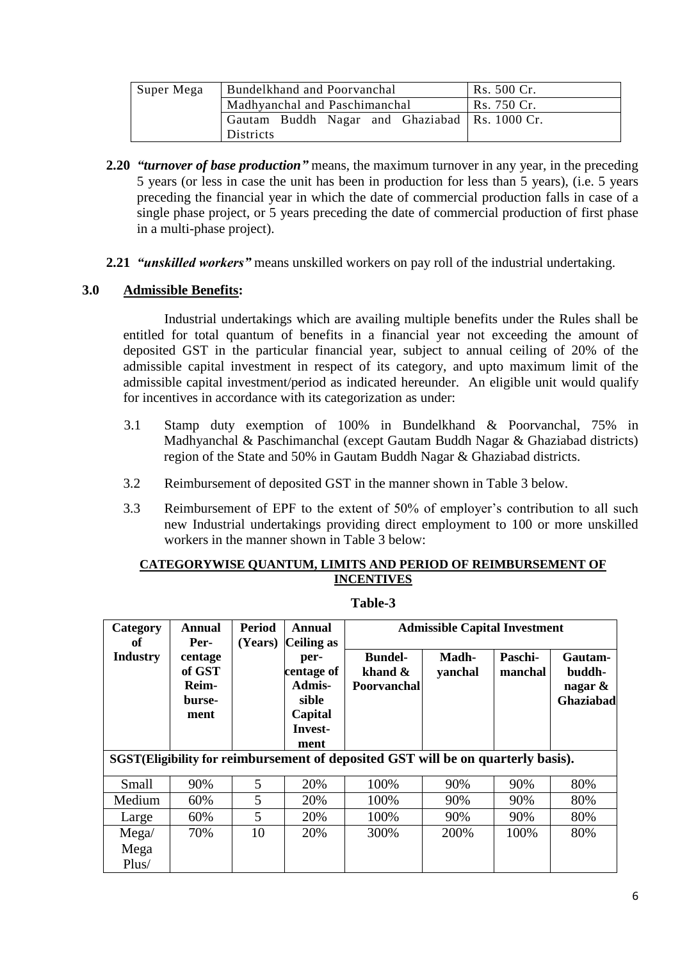| Super Mega | Bundelkhand and Poorvanchal                     | Rs. 500 Cr. |
|------------|-------------------------------------------------|-------------|
|            | Madhyanchal and Paschimanchal                   | Rs. 750 Cr. |
|            | Gautam Buddh Nagar and Ghaziabad   Rs. 1000 Cr. |             |
|            | Districts                                       |             |

- **2.20** *"turnover of base production"* means, the maximum turnover in any year, in the preceding 5 years (or less in case the unit has been in production for less than 5 years), (i.e. 5 years preceding the financial year in which the date of commercial production falls in case of a single phase project, or 5 years preceding the date of commercial production of first phase in a multi-phase project).
- **2.21** *"unskilled workers"* means unskilled workers on pay roll of the industrial undertaking.

## **3.0 Admissible Benefits:**

Industrial undertakings which are availing multiple benefits under the Rules shall be entitled for total quantum of benefits in a financial year not exceeding the amount of deposited GST in the particular financial year, subject to annual ceiling of 20% of the admissible capital investment in respect of its category, and upto maximum limit of the admissible capital investment/period as indicated hereunder. An eligible unit would qualify for incentives in accordance with its categorization as under:

- 3.1 Stamp duty exemption of 100% in Bundelkhand & Poorvanchal, 75% in Madhyanchal & Paschimanchal (except Gautam Buddh Nagar & Ghaziabad districts) region of the State and 50% in Gautam Buddh Nagar & Ghaziabad districts.
- 3.2 Reimbursement of deposited GST in the manner shown in Table 3 below.
- 3.3 Reimbursement of EPF to the extent of 50% of employer's contribution to all such new Industrial undertakings providing direct employment to 100 or more unskilled workers in the manner shown in Table 3 below:

#### **CATEGORYWISE QUANTUM, LIMITS AND PERIOD OF REIMBURSEMENT OF INCENTIVES**

| Category<br>оf         | <b>Annual</b><br>Per-                               | <b>Period</b><br>(Years) | Annual<br>Ceiling as                                                |                                                                                  | <b>Admissible Capital Investment</b> |                    |                                              |
|------------------------|-----------------------------------------------------|--------------------------|---------------------------------------------------------------------|----------------------------------------------------------------------------------|--------------------------------------|--------------------|----------------------------------------------|
| <b>Industry</b>        | centage<br>of GST<br><b>Reim-</b><br>burse-<br>ment |                          | per-<br>centage of<br>Admis-<br>sible<br>Capital<br>Invest-<br>ment | <b>Bundel-</b><br>khand &<br>Poorvanchal                                         | Madh-<br>yanchal                     | Paschi-<br>manchal | Gautam-<br>buddh-<br>nagar $\&$<br>Ghaziabad |
|                        |                                                     |                          |                                                                     | SGST(Eligibility for reimbursement of deposited GST will be on quarterly basis). |                                      |                    |                                              |
| Small                  | 90%                                                 | 5                        | 20%                                                                 | 100%                                                                             | 90%                                  | 90%                | 80%                                          |
| Medium                 | 60%                                                 | 5                        | 20%                                                                 | 100%                                                                             | 90%                                  | 90%                | 80%                                          |
| Large                  | 60%                                                 | 5                        | 20%                                                                 | 100%                                                                             | 90%                                  | 90%                | 80%                                          |
| Mega/<br>Mega<br>Plus/ | 70%                                                 | 10                       | 20%                                                                 | 300%                                                                             | 200%                                 | 100%               | 80%                                          |

**Table-3**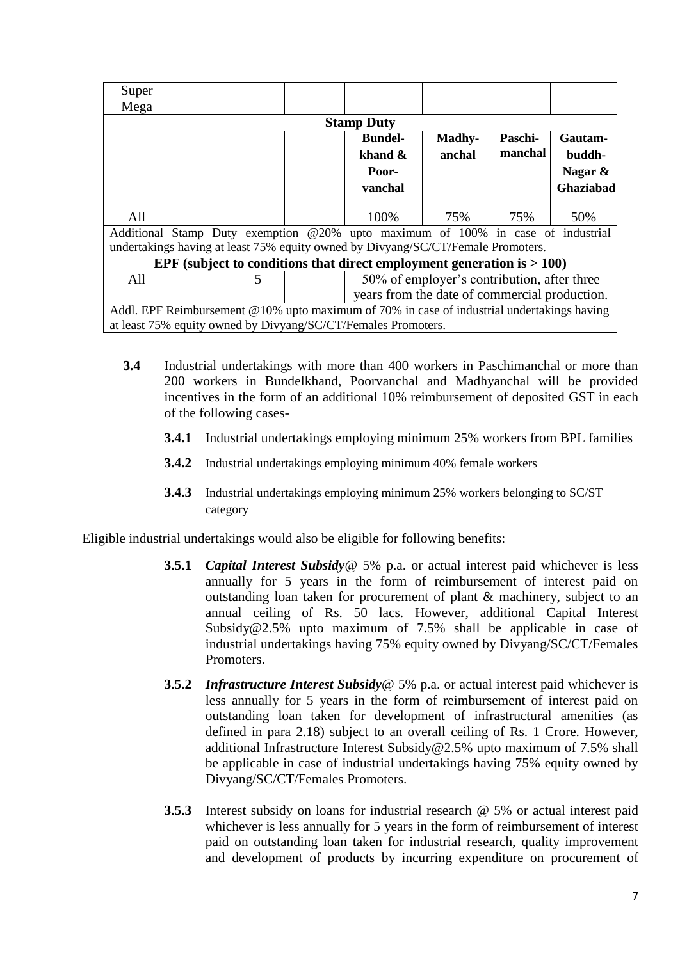| Super |                                                                                            |                          |  |                                                                                  |                                               |         |           |
|-------|--------------------------------------------------------------------------------------------|--------------------------|--|----------------------------------------------------------------------------------|-----------------------------------------------|---------|-----------|
| Mega  |                                                                                            |                          |  |                                                                                  |                                               |         |           |
|       |                                                                                            |                          |  | <b>Stamp Duty</b>                                                                |                                               |         |           |
|       |                                                                                            |                          |  | <b>Bundel-</b>                                                                   | Madhy-                                        | Paschi- | Gautam-   |
|       |                                                                                            |                          |  | khand $\&$                                                                       | anchal                                        | manchal | buddh-    |
|       |                                                                                            |                          |  | Poor-                                                                            |                                               |         | Nagar &   |
|       |                                                                                            |                          |  | vanchal                                                                          |                                               |         | Ghaziabad |
|       |                                                                                            |                          |  |                                                                                  |                                               |         |           |
| All   |                                                                                            |                          |  | 100%                                                                             | 75%                                           | 75%     | 50%       |
|       |                                                                                            |                          |  | Additional Stamp Duty exemption @20% upto maximum of 100% in case of industrial  |                                               |         |           |
|       |                                                                                            |                          |  | undertakings having at least 75% equity owned by Divyang/SC/CT/Female Promoters. |                                               |         |           |
|       |                                                                                            |                          |  | EPF (subject to conditions that direct employment generation is $> 100$ )        |                                               |         |           |
| All   |                                                                                            | $\overline{\mathcal{L}}$ |  |                                                                                  | 50% of employer's contribution, after three   |         |           |
|       |                                                                                            |                          |  |                                                                                  | years from the date of commercial production. |         |           |
|       | Addl. EPF Reimbursement @10% upto maximum of 70% in case of industrial undertakings having |                          |  |                                                                                  |                                               |         |           |
|       |                                                                                            |                          |  | at least 75% equity owned by Divyang/SC/CT/Females Promoters.                    |                                               |         |           |

- **3.4** Industrial undertakings with more than 400 workers in Paschimanchal or more than 200 workers in Bundelkhand, Poorvanchal and Madhyanchal will be provided incentives in the form of an additional 10% reimbursement of deposited GST in each of the following cases-
	- **3.4.1** Industrial undertakings employing minimum 25% workers from BPL families
	- **3.4.2** Industrial undertakings employing minimum 40% female workers
	- **3.4.3** Industrial undertakings employing minimum 25% workers belonging to SC/ST category

Eligible industrial undertakings would also be eligible for following benefits:

- **3.5.1** *Capital Interest Subsidy*@ 5% p.a. or actual interest paid whichever is less annually for 5 years in the form of reimbursement of interest paid on outstanding loan taken for procurement of plant & machinery, subject to an annual ceiling of Rs. 50 lacs. However, additional Capital Interest Subsidy@2.5% upto maximum of 7.5% shall be applicable in case of industrial undertakings having 75% equity owned by Divyang/SC/CT/Females Promoters.
- **3.5.2** *Infrastructure Interest Subsidy*@ 5% p.a. or actual interest paid whichever is less annually for 5 years in the form of reimbursement of interest paid on outstanding loan taken for development of infrastructural amenities (as defined in para 2.18) subject to an overall ceiling of Rs. 1 Crore. However, additional Infrastructure Interest Subsidy@2.5% upto maximum of 7.5% shall be applicable in case of industrial undertakings having 75% equity owned by Divyang/SC/CT/Females Promoters.
- **3.5.3** Interest subsidy on loans for industrial research @ 5% or actual interest paid whichever is less annually for 5 years in the form of reimbursement of interest paid on outstanding loan taken for industrial research, quality improvement and development of products by incurring expenditure on procurement of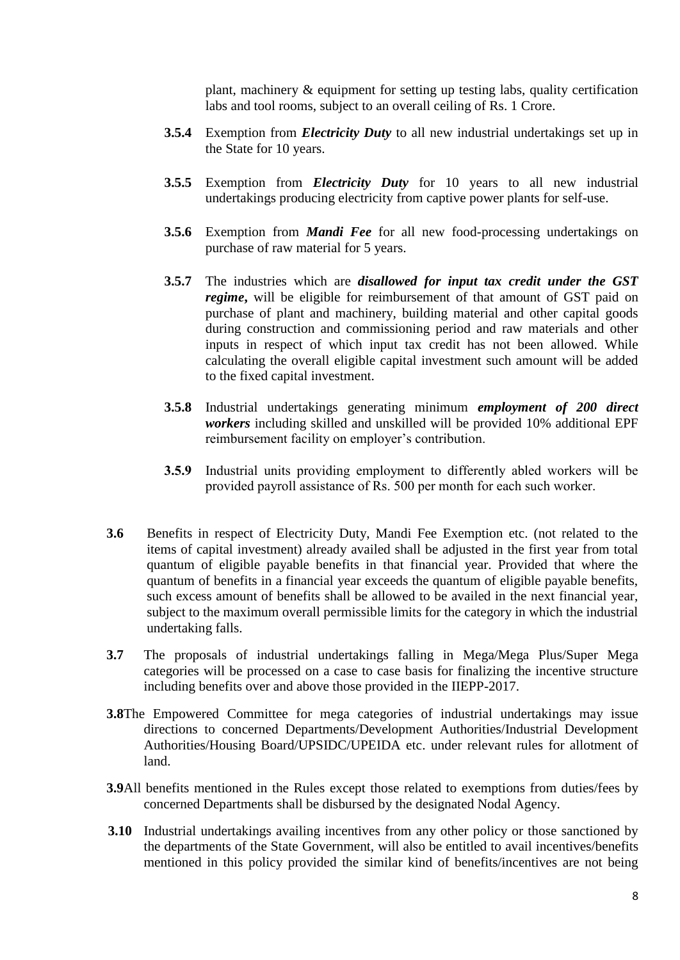plant, machinery & equipment for setting up testing labs, quality certification labs and tool rooms, subject to an overall ceiling of Rs. 1 Crore.

- **3.5.4** Exemption from *Electricity Duty* to all new industrial undertakings set up in the State for 10 years.
- **3.5.5** Exemption from *Electricity Duty* for 10 years to all new industrial undertakings producing electricity from captive power plants for self-use.
- **3.5.6** Exemption from *Mandi Fee* for all new food-processing undertakings on purchase of raw material for 5 years.
- **3.5.7** The industries which are *disallowed for input tax credit under the GST regime***,** will be eligible for reimbursement of that amount of GST paid on purchase of plant and machinery, building material and other capital goods during construction and commissioning period and raw materials and other inputs in respect of which input tax credit has not been allowed. While calculating the overall eligible capital investment such amount will be added to the fixed capital investment.
- **3.5.8** Industrial undertakings generating minimum *employment of 200 direct workers* including skilled and unskilled will be provided 10% additional EPF reimbursement facility on employer's contribution.
- **3.5.9** Industrial units providing employment to differently abled workers will be provided payroll assistance of Rs. 500 per month for each such worker.
- **3.6** Benefits in respect of Electricity Duty, Mandi Fee Exemption etc. (not related to the items of capital investment) already availed shall be adjusted in the first year from total quantum of eligible payable benefits in that financial year. Provided that where the quantum of benefits in a financial year exceeds the quantum of eligible payable benefits, such excess amount of benefits shall be allowed to be availed in the next financial year, subject to the maximum overall permissible limits for the category in which the industrial undertaking falls.
- **3.7** The proposals of industrial undertakings falling in Mega/Mega Plus/Super Mega categories will be processed on a case to case basis for finalizing the incentive structure including benefits over and above those provided in the IIEPP-2017.
- **3.8**The Empowered Committee for mega categories of industrial undertakings may issue directions to concerned Departments/Development Authorities/Industrial Development Authorities/Housing Board/UPSIDC/UPEIDA etc. under relevant rules for allotment of land.
- **3.9**All benefits mentioned in the Rules except those related to exemptions from duties/fees by concerned Departments shall be disbursed by the designated Nodal Agency.
- **3.10** Industrial undertakings availing incentives from any other policy or those sanctioned by the departments of the State Government, will also be entitled to avail incentives/benefits mentioned in this policy provided the similar kind of benefits/incentives are not being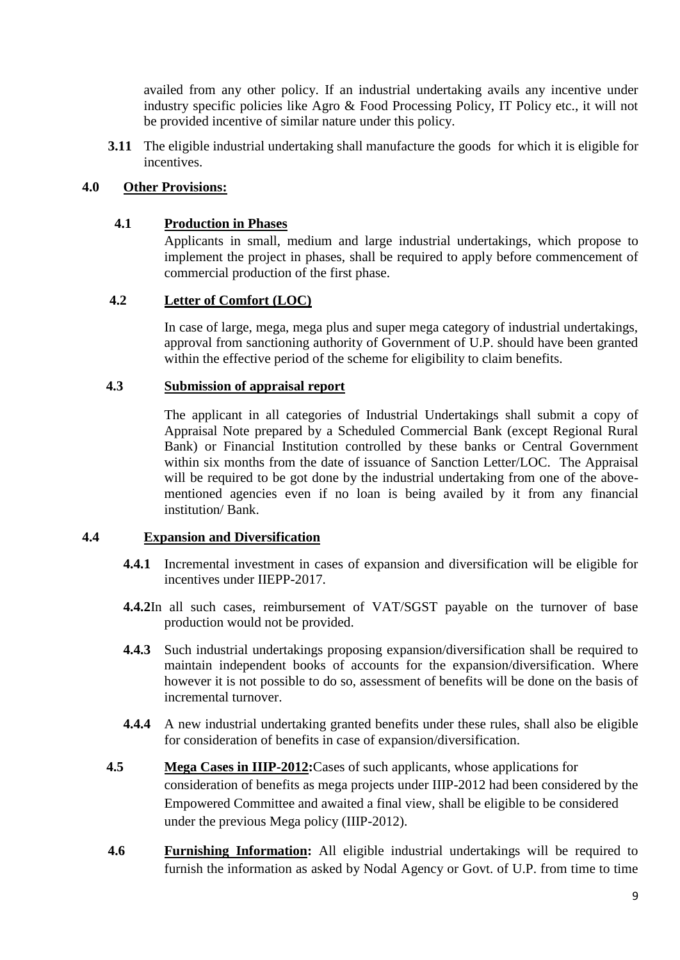availed from any other policy. If an industrial undertaking avails any incentive under industry specific policies like Agro & Food Processing Policy, IT Policy etc., it will not be provided incentive of similar nature under this policy.

**3.11** The eligible industrial undertaking shall manufacture the goods for which it is eligible for incentives.

## **4.0 Other Provisions:**

### **4.1 Production in Phases**

Applicants in small, medium and large industrial undertakings, which propose to implement the project in phases, shall be required to apply before commencement of commercial production of the first phase.

#### **4.2 Letter of Comfort (LOC)**

In case of large, mega, mega plus and super mega category of industrial undertakings, approval from sanctioning authority of Government of U.P. should have been granted within the effective period of the scheme for eligibility to claim benefits.

#### **4.3 Submission of appraisal report**

The applicant in all categories of Industrial Undertakings shall submit a copy of Appraisal Note prepared by a Scheduled Commercial Bank (except Regional Rural Bank) or Financial Institution controlled by these banks or Central Government within six months from the date of issuance of Sanction Letter/LOC. The Appraisal will be required to be got done by the industrial undertaking from one of the abovementioned agencies even if no loan is being availed by it from any financial institution/ Bank.

## **4.4 Expansion and Diversification**

- **4.4.1** Incremental investment in cases of expansion and diversification will be eligible for incentives under IIEPP-2017.
- **4.4.2**In all such cases, reimbursement of VAT/SGST payable on the turnover of base production would not be provided.
- **4.4.3** Such industrial undertakings proposing expansion/diversification shall be required to maintain independent books of accounts for the expansion/diversification. Where however it is not possible to do so, assessment of benefits will be done on the basis of incremental turnover.
- **4.4.4** A new industrial undertaking granted benefits under these rules, shall also be eligible for consideration of benefits in case of expansion/diversification.
- **4.5 Mega Cases in IIIP-2012:**Cases of such applicants, whose applications for consideration of benefits as mega projects under IIIP-2012 had been considered by the Empowered Committee and awaited a final view, shall be eligible to be considered under the previous Mega policy (IIIP-2012).
- **4.6 Furnishing Information:** All eligible industrial undertakings will be required to furnish the information as asked by Nodal Agency or Govt. of U.P. from time to time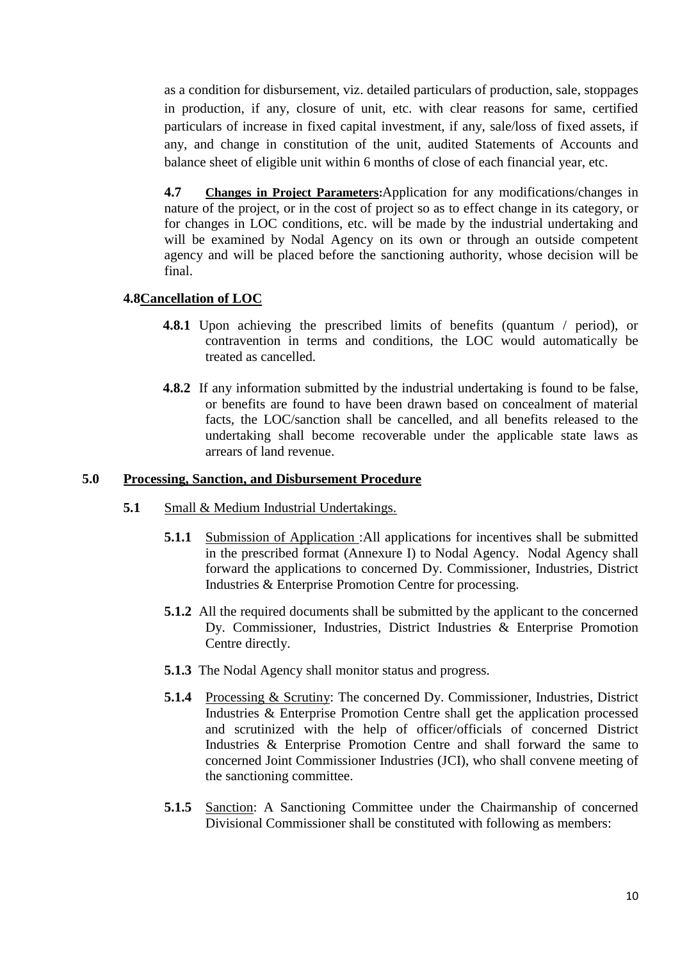as a condition for disbursement, viz. detailed particulars of production, sale, stoppages in production, if any, closure of unit, etc. with clear reasons for same, certified particulars of increase in fixed capital investment, if any, sale/loss of fixed assets, if any, and change in constitution of the unit, audited Statements of Accounts and balance sheet of eligible unit within 6 months of close of each financial year, etc.

**4.7 Changes in Project Parameters:**Application for any modifications/changes in nature of the project, or in the cost of project so as to effect change in its category, or for changes in LOC conditions, etc. will be made by the industrial undertaking and will be examined by Nodal Agency on its own or through an outside competent agency and will be placed before the sanctioning authority, whose decision will be final.

## **4.8Cancellation of LOC**

- **4.8.1** Upon achieving the prescribed limits of benefits (quantum / period), or contravention in terms and conditions, the LOC would automatically be treated as cancelled.
- **4.8.2** If any information submitted by the industrial undertaking is found to be false, or benefits are found to have been drawn based on concealment of material facts, the LOC/sanction shall be cancelled, and all benefits released to the undertaking shall become recoverable under the applicable state laws as arrears of land revenue.

#### **5.0 Processing, Sanction, and Disbursement Procedure**

- **5.1** Small & Medium Industrial Undertakings.
	- **5.1.1** Submission of Application :All applications for incentives shall be submitted in the prescribed format (Annexure I) to Nodal Agency. Nodal Agency shall forward the applications to concerned Dy. Commissioner, Industries*,* District Industries & Enterprise Promotion Centre for processing.
	- **5.1.2** All the required documents shall be submitted by the applicant to the concerned Dy. Commissioner, Industries*,* District Industries & Enterprise Promotion Centre directly.
	- **5.1.3** The Nodal Agency shall monitor status and progress.
	- **5.1.4** Processing & Scrutiny: The concerned Dy. Commissioner, Industries*,* District Industries & Enterprise Promotion Centre shall get the application processed and scrutinized with the help of officer/officials of concerned District Industries & Enterprise Promotion Centre and shall forward the same to concerned Joint Commissioner Industries (JCI), who shall convene meeting of the sanctioning committee.
	- **5.1.5** Sanction: A Sanctioning Committee under the Chairmanship of concerned Divisional Commissioner shall be constituted with following as members: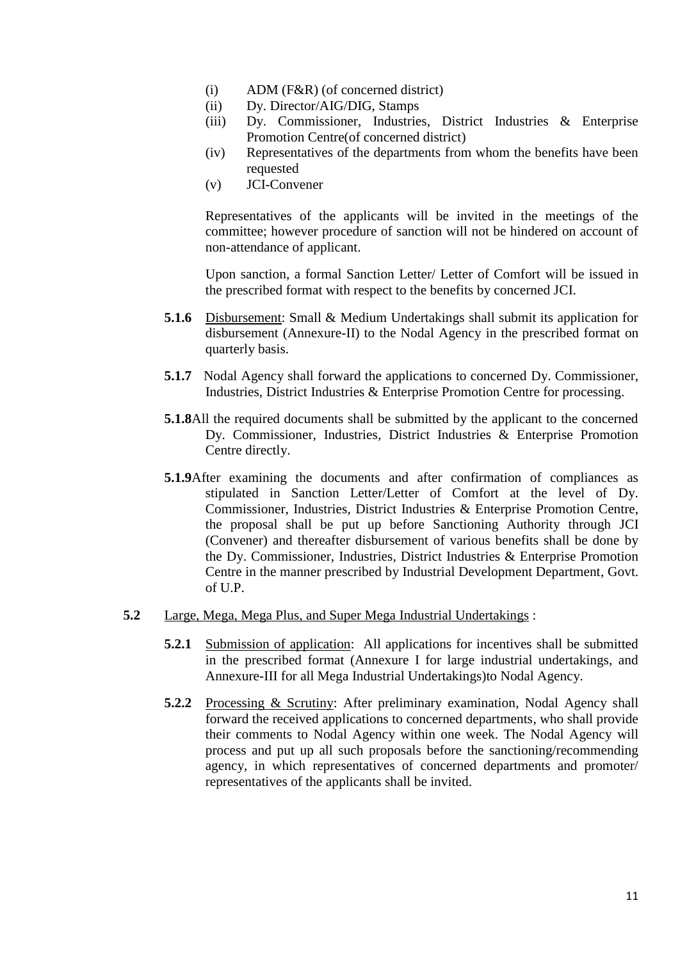- (i) ADM (F&R) (of concerned district)
- (ii) Dy. Director/AIG/DIG, Stamps
- (iii) Dy. Commissioner, Industries*,* District Industries & Enterprise Promotion Centre(of concerned district)
- (iv) Representatives of the departments from whom the benefits have been requested
- (v) JCI-Convener

Representatives of the applicants will be invited in the meetings of the committee; however procedure of sanction will not be hindered on account of non-attendance of applicant.

Upon sanction, a formal Sanction Letter/ Letter of Comfort will be issued in the prescribed format with respect to the benefits by concerned JCI.

- **5.1.6** Disbursement: Small & Medium Undertakings shall submit its application for disbursement (Annexure-II) to the Nodal Agency in the prescribed format on quarterly basis.
- **5.1.7** Nodal Agency shall forward the applications to concerned Dy. Commissioner, Industries*,* District Industries & Enterprise Promotion Centre for processing.
- **5.1.8**All the required documents shall be submitted by the applicant to the concerned Dy. Commissioner, Industries*,* District Industries & Enterprise Promotion Centre directly.
- **5.1.9**After examining the documents and after confirmation of compliances as stipulated in Sanction Letter/Letter of Comfort at the level of Dy. Commissioner, Industries*,* District Industries & Enterprise Promotion Centre, the proposal shall be put up before Sanctioning Authority through JCI (Convener) and thereafter disbursement of various benefits shall be done by the Dy. Commissioner, Industries*,* District Industries & Enterprise Promotion Centre in the manner prescribed by Industrial Development Department, Govt. of U.P.
- **5.2** Large, Mega, Mega Plus, and Super Mega Industrial Undertakings :
	- **5.2.1** Submission of application: All applications for incentives shall be submitted in the prescribed format (Annexure I for large industrial undertakings, and Annexure-III for all Mega Industrial Undertakings)to Nodal Agency.
	- **5.2.2** Processing & Scrutiny: After preliminary examination, Nodal Agency shall forward the received applications to concerned departments, who shall provide their comments to Nodal Agency within one week. The Nodal Agency will process and put up all such proposals before the sanctioning/recommending agency, in which representatives of concerned departments and promoter/ representatives of the applicants shall be invited.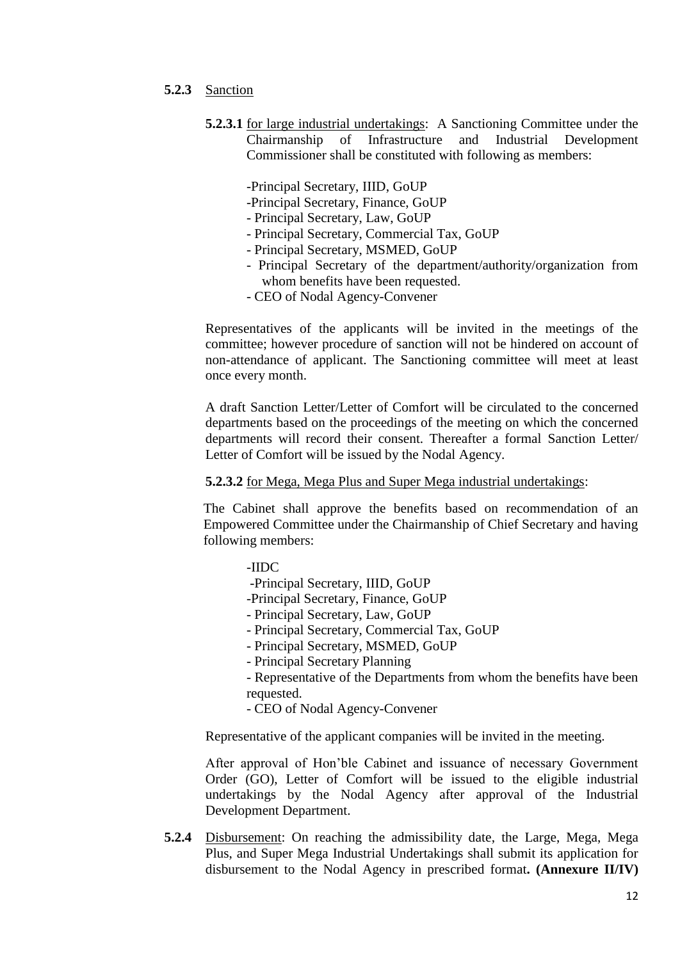#### **5.2.3** Sanction

- **5.2.3.1** for large industrial undertakings: A Sanctioning Committee under the Chairmanship of Infrastructure and Industrial Development Commissioner shall be constituted with following as members:
	- -Principal Secretary, IIID, GoUP
	- -Principal Secretary, Finance, GoUP
	- Principal Secretary, Law, GoUP
	- Principal Secretary, Commercial Tax, GoUP
	- Principal Secretary, MSMED, GoUP
	- Principal Secretary of the department/authority/organization from whom benefits have been requested.
	- CEO of Nodal Agency-Convener

Representatives of the applicants will be invited in the meetings of the committee; however procedure of sanction will not be hindered on account of non-attendance of applicant. The Sanctioning committee will meet at least once every month.

A draft Sanction Letter/Letter of Comfort will be circulated to the concerned departments based on the proceedings of the meeting on which the concerned departments will record their consent. Thereafter a formal Sanction Letter/ Letter of Comfort will be issued by the Nodal Agency.

#### **5.2.3.2** for Mega, Mega Plus and Super Mega industrial undertakings:

The Cabinet shall approve the benefits based on recommendation of an Empowered Committee under the Chairmanship of Chief Secretary and having following members:

-IIDC

-Principal Secretary, IIID, GoUP

- -Principal Secretary, Finance, GoUP
- Principal Secretary, Law, GoUP
- Principal Secretary, Commercial Tax, GoUP
- Principal Secretary, MSMED, GoUP
- Principal Secretary Planning

- Representative of the Departments from whom the benefits have been requested.

- CEO of Nodal Agency-Convener

Representative of the applicant companies will be invited in the meeting.

After approval of Hon'ble Cabinet and issuance of necessary Government Order (GO), Letter of Comfort will be issued to the eligible industrial undertakings by the Nodal Agency after approval of the Industrial Development Department.

**5.2.4** Disbursement: On reaching the admissibility date, the Large, Mega, Mega Plus, and Super Mega Industrial Undertakings shall submit its application for disbursement to the Nodal Agency in prescribed format**. (Annexure II/IV)**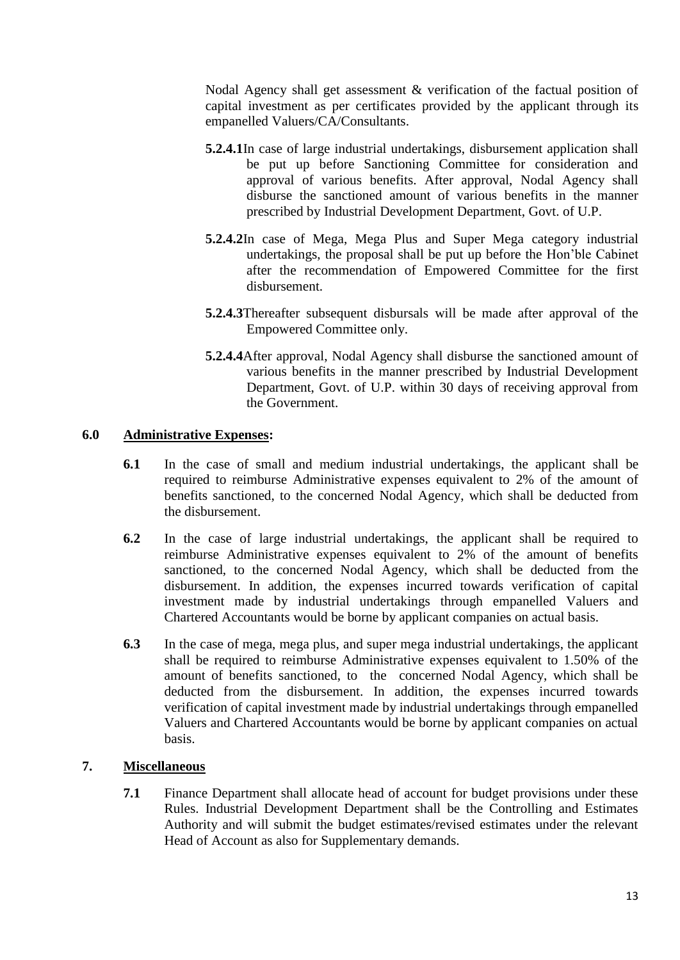Nodal Agency shall get assessment & verification of the factual position of capital investment as per certificates provided by the applicant through its empanelled Valuers/CA/Consultants.

- **5.2.4.1**In case of large industrial undertakings, disbursement application shall be put up before Sanctioning Committee for consideration and approval of various benefits. After approval, Nodal Agency shall disburse the sanctioned amount of various benefits in the manner prescribed by Industrial Development Department, Govt. of U.P.
- **5.2.4.2**In case of Mega, Mega Plus and Super Mega category industrial undertakings, the proposal shall be put up before the Hon'ble Cabinet after the recommendation of Empowered Committee for the first disbursement.
- **5.2.4.3**Thereafter subsequent disbursals will be made after approval of the Empowered Committee only.
- **5.2.4.4**After approval, Nodal Agency shall disburse the sanctioned amount of various benefits in the manner prescribed by Industrial Development Department, Govt. of U.P. within 30 days of receiving approval from the Government.

## **6.0 Administrative Expenses:**

- **6.1** In the case of small and medium industrial undertakings, the applicant shall be required to reimburse Administrative expenses equivalent to 2% of the amount of benefits sanctioned, to the concerned Nodal Agency, which shall be deducted from the disbursement.
- **6.2** In the case of large industrial undertakings, the applicant shall be required to reimburse Administrative expenses equivalent to 2% of the amount of benefits sanctioned, to the concerned Nodal Agency, which shall be deducted from the disbursement. In addition, the expenses incurred towards verification of capital investment made by industrial undertakings through empanelled Valuers and Chartered Accountants would be borne by applicant companies on actual basis.
- **6.3** In the case of mega, mega plus, and super mega industrial undertakings, the applicant shall be required to reimburse Administrative expenses equivalent to 1.50% of the amount of benefits sanctioned, to the concerned Nodal Agency, which shall be deducted from the disbursement. In addition, the expenses incurred towards verification of capital investment made by industrial undertakings through empanelled Valuers and Chartered Accountants would be borne by applicant companies on actual basis.

## **7. Miscellaneous**

**7.1** Finance Department shall allocate head of account for budget provisions under these Rules. Industrial Development Department shall be the Controlling and Estimates Authority and will submit the budget estimates/revised estimates under the relevant Head of Account as also for Supplementary demands.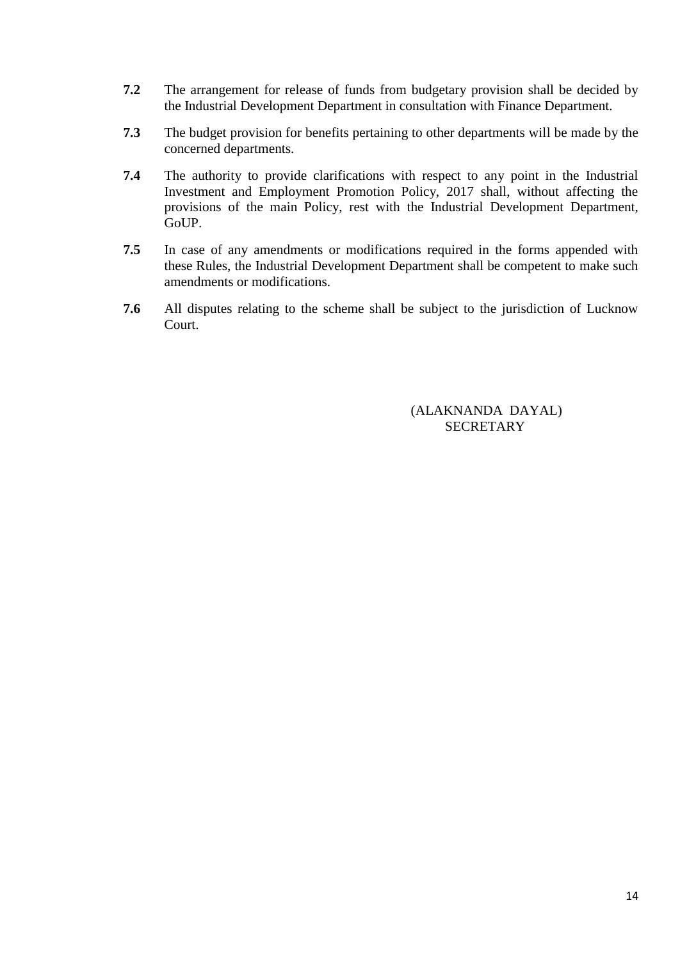- **7.2** The arrangement for release of funds from budgetary provision shall be decided by the Industrial Development Department in consultation with Finance Department.
- **7.3** The budget provision for benefits pertaining to other departments will be made by the concerned departments.
- **7.4** The authority to provide clarifications with respect to any point in the Industrial Investment and Employment Promotion Policy, 2017 shall, without affecting the provisions of the main Policy, rest with the Industrial Development Department, GoUP.
- **7.5** In case of any amendments or modifications required in the forms appended with these Rules, the Industrial Development Department shall be competent to make such amendments or modifications.
- **7.6** All disputes relating to the scheme shall be subject to the jurisdiction of Lucknow Court.

(ALAKNANDA DAYAL) **SECRETARY**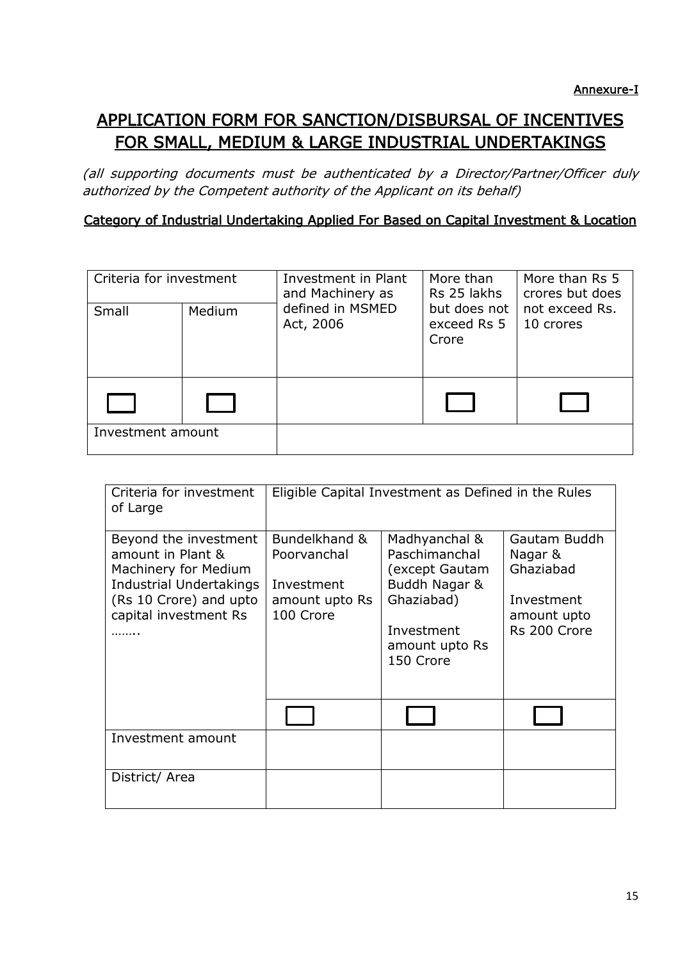# APPLICATION FORM FOR SANCTION/DISBURSAL OF INCENTIVES FOR SMALL, MEDIUM & LARGE INDUSTRIAL UNDERTAKINGS

(all supporting documents must be authenticated by a Director/Partner/Officer duly authorized by the Competent authority of the Applicant on its behalf)

# Category of Industrial Undertaking Applied For Based on Capital Investment & Location

| Criteria for investment |        | Investment in Plant<br>and Machinery as | More than<br>Rs 25 lakhs             | More than Rs 5<br>crores but does |  |
|-------------------------|--------|-----------------------------------------|--------------------------------------|-----------------------------------|--|
| Small                   | Medium | defined in MSMED<br>Act, 2006           | but does not<br>exceed Rs 5<br>Crore | not exceed Rs.<br>10 crores       |  |
|                         |        |                                         |                                      |                                   |  |
| Investment amount       |        |                                         |                                      |                                   |  |

| Criteria for investment<br>of Large                                                                                                                     | Eligible Capital Investment as Defined in the Rules                       |                                                                                                                              |                                                                                   |  |  |
|---------------------------------------------------------------------------------------------------------------------------------------------------------|---------------------------------------------------------------------------|------------------------------------------------------------------------------------------------------------------------------|-----------------------------------------------------------------------------------|--|--|
| Beyond the investment<br>amount in Plant &<br>Machinery for Medium<br><b>Industrial Undertakings</b><br>(Rs 10 Crore) and upto<br>capital investment Rs | Bundelkhand &<br>Poorvanchal<br>Investment<br>amount upto Rs<br>100 Crore | Madhyanchal &<br>Paschimanchal<br>(except Gautam<br>Buddh Nagar &<br>Ghaziabad)<br>Investment<br>amount upto Rs<br>150 Crore | Gautam Buddh<br>Nagar &<br>Ghaziabad<br>Investment<br>amount upto<br>Rs 200 Crore |  |  |
|                                                                                                                                                         |                                                                           |                                                                                                                              |                                                                                   |  |  |
| Investment amount                                                                                                                                       |                                                                           |                                                                                                                              |                                                                                   |  |  |
| District/ Area                                                                                                                                          |                                                                           |                                                                                                                              |                                                                                   |  |  |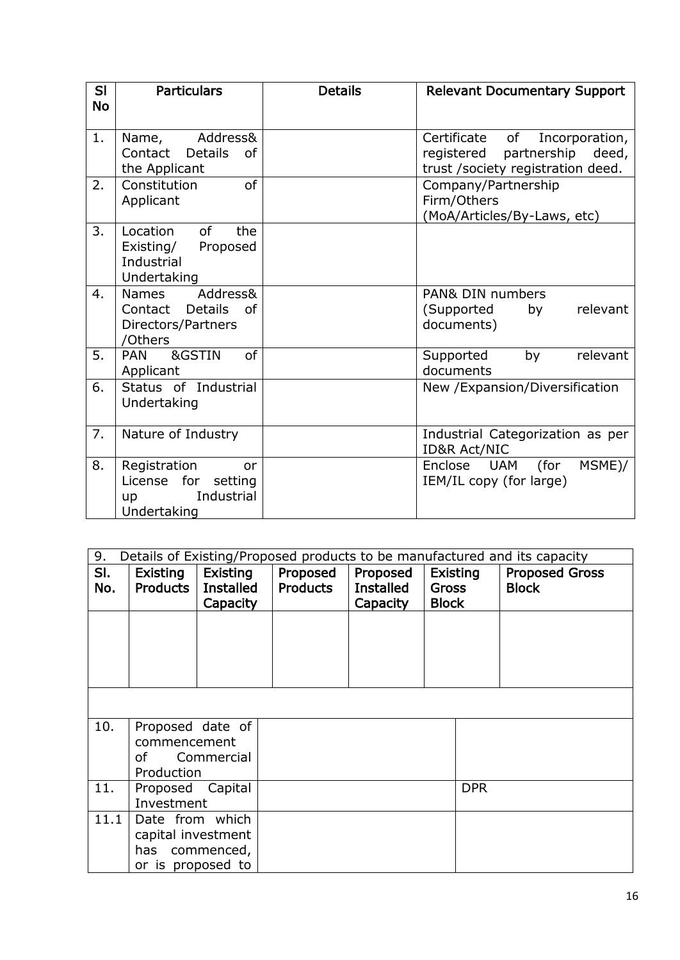| <b>SI</b><br><b>No</b> | <b>Particulars</b>                                                                    | <b>Details</b> | <b>Relevant Documentary Support</b>                                                                            |
|------------------------|---------------------------------------------------------------------------------------|----------------|----------------------------------------------------------------------------------------------------------------|
| 1.                     | Address&<br>Name,<br>Contact<br><b>Details</b><br>0f<br>the Applicant                 |                | of<br>Incorporation,<br>Certificate<br>partnership<br>registered<br>deed,<br>trust /society registration deed. |
| 2.                     | <sub>of</sub><br>Constitution<br>Applicant                                            |                | Company/Partnership<br>Firm/Others<br>(MoA/Articles/By-Laws, etc)                                              |
| 3.                     | Location<br>of<br>the<br>Proposed<br>Existing/<br>Industrial<br>Undertaking           |                |                                                                                                                |
| 4.                     | Address&<br>Names<br><b>Details</b><br>of<br>Contact<br>Directors/Partners<br>/Others |                | PAN& DIN numbers<br>relevant<br>(Supported<br>by<br>documents)                                                 |
| 5.                     | &GSTIN<br>of<br><b>PAN</b><br>Applicant                                               |                | relevant<br>by<br>Supported<br>documents                                                                       |
| 6.                     | Status of Industrial<br>Undertaking                                                   |                | New /Expansion/Diversification                                                                                 |
| 7.                     | Nature of Industry                                                                    |                | Industrial Categorization as per<br><b>ID&amp;R Act/NIC</b>                                                    |
| 8.                     | Registration<br>or<br>License for<br>setting<br>Industrial<br>up<br>Undertaking       |                | (for<br>UAM<br>MSME)/<br>Enclose<br>IEM/IL copy (for large)                                                    |

| 9.         | Details of Existing/Proposed products to be manufactured and its capacity    |                                          |                             |                                          |                                                 |                                       |  |
|------------|------------------------------------------------------------------------------|------------------------------------------|-----------------------------|------------------------------------------|-------------------------------------------------|---------------------------------------|--|
| SI.<br>No. | Existing<br>Products                                                         | Existing<br><b>Installed</b><br>Capacity | Proposed<br><b>Products</b> | Proposed<br><b>Installed</b><br>Capacity | <b>Existing</b><br><b>Gross</b><br><b>Block</b> | <b>Proposed Gross</b><br><b>Block</b> |  |
|            |                                                                              |                                          |                             |                                          |                                                 |                                       |  |
|            |                                                                              |                                          |                             |                                          |                                                 |                                       |  |
|            |                                                                              |                                          |                             |                                          |                                                 |                                       |  |
| 10.        | Proposed date of<br>commencement<br>of<br>Production                         | Commercial                               |                             |                                          |                                                 |                                       |  |
| 11.        | Proposed Capital<br>Investment                                               |                                          |                             |                                          | <b>DPR</b>                                      |                                       |  |
| 11.1       | Date from which<br>capital investment<br>has commenced,<br>or is proposed to |                                          |                             |                                          |                                                 |                                       |  |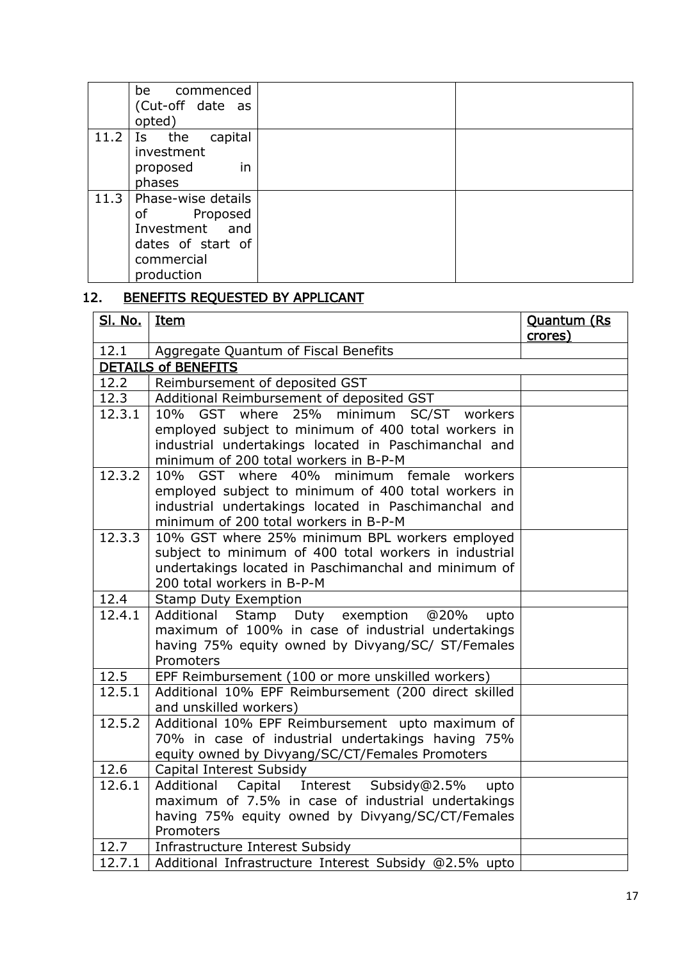|      | be commenced<br>(Cut-off date as<br>opted)                                                                                 |  |
|------|----------------------------------------------------------------------------------------------------------------------------|--|
| 11.2 | capital<br>Is the<br>investment<br>in<br>proposed<br>phases                                                                |  |
|      | 11.3   Phase-wise details<br>Proposed<br>of the control<br>Investment and<br>dates of start of<br>commercial<br>production |  |

# 12. BENEFITS REQUESTED BY APPLICANT

| <u>Sl. No.</u> | <b>Item</b>                                                                                                                                                                                                            | <b>Quantum (Rs)</b><br>crores) |
|----------------|------------------------------------------------------------------------------------------------------------------------------------------------------------------------------------------------------------------------|--------------------------------|
| 12.1           | Aggregate Quantum of Fiscal Benefits                                                                                                                                                                                   |                                |
|                | <b>DETAILS of BENEFITS</b>                                                                                                                                                                                             |                                |
| 12.2           | Reimbursement of deposited GST                                                                                                                                                                                         |                                |
| 12.3           | Additional Reimbursement of deposited GST                                                                                                                                                                              |                                |
| 12.3.1         | where 25%<br>10%<br>GST<br>minimum SC/ST workers<br>employed subject to minimum of 400 total workers in<br>industrial undertakings located in Paschimanchal and<br>minimum of 200 total workers in B-P-M               |                                |
| 12.3.2         | 10%<br>where<br>40%<br>minimum female<br><b>GST</b><br>workers<br>employed subject to minimum of 400 total workers in<br>industrial undertakings located in Paschimanchal and<br>minimum of 200 total workers in B-P-M |                                |
| 12.3.3         | 10% GST where 25% minimum BPL workers employed<br>subject to minimum of 400 total workers in industrial<br>undertakings located in Paschimanchal and minimum of<br>200 total workers in B-P-M                          |                                |
| 12.4           | <b>Stamp Duty Exemption</b>                                                                                                                                                                                            |                                |
| 12.4.1         | Additional<br>Stamp Duty exemption<br>@20%<br>upto<br>maximum of 100% in case of industrial undertakings<br>having 75% equity owned by Divyang/SC/ ST/Females<br>Promoters                                             |                                |
| 12.5           | EPF Reimbursement (100 or more unskilled workers)                                                                                                                                                                      |                                |
| 12.5.1         | Additional 10% EPF Reimbursement (200 direct skilled<br>and unskilled workers)                                                                                                                                         |                                |
| 12.5.2         | Additional 10% EPF Reimbursement upto maximum of<br>70% in case of industrial undertakings having 75%<br>equity owned by Divyang/SC/CT/Females Promoters                                                               |                                |
| 12.6           | Capital Interest Subsidy                                                                                                                                                                                               |                                |
| 12.6.1         | Capital Interest Subsidy@2.5%<br>Additional<br>upto<br>maximum of 7.5% in case of industrial undertakings<br>having 75% equity owned by Divyang/SC/CT/Females<br>Promoters                                             |                                |
| 12.7           | Infrastructure Interest Subsidy                                                                                                                                                                                        |                                |
| 12.7.1         | Additional Infrastructure Interest Subsidy @2.5% upto                                                                                                                                                                  |                                |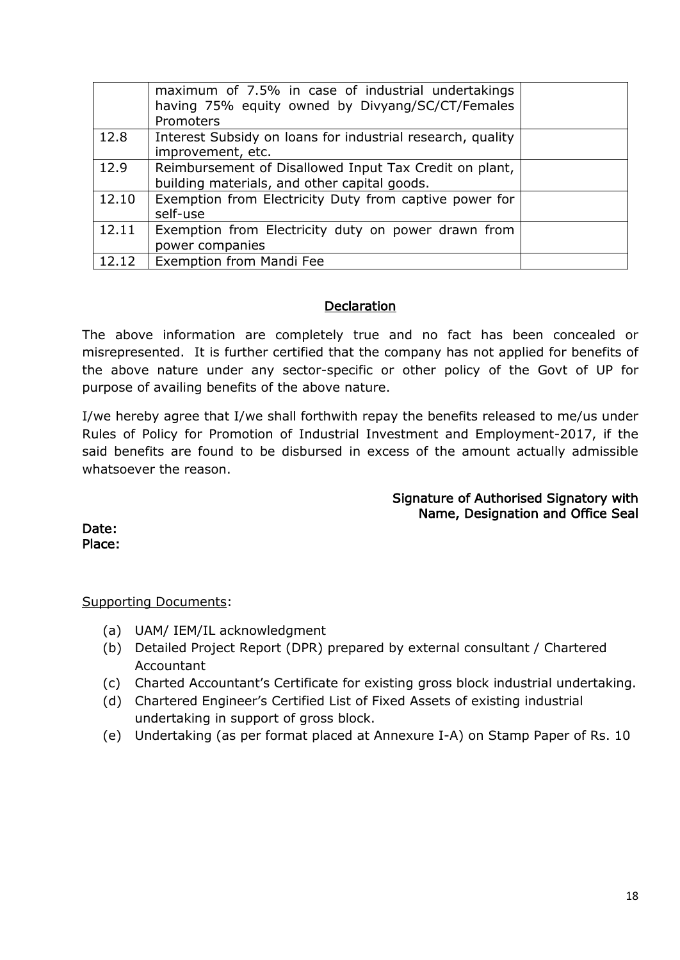|       | maximum of 7.5% in case of industrial undertakings<br>having 75% equity owned by Divyang/SC/CT/Females<br>Promoters |  |
|-------|---------------------------------------------------------------------------------------------------------------------|--|
| 12.8  | Interest Subsidy on loans for industrial research, quality<br>improvement, etc.                                     |  |
| 12.9  | Reimbursement of Disallowed Input Tax Credit on plant,<br>building materials, and other capital goods.              |  |
| 12.10 | Exemption from Electricity Duty from captive power for<br>self-use                                                  |  |
| 12.11 | Exemption from Electricity duty on power drawn from<br>power companies                                              |  |
| 12.12 | Exemption from Mandi Fee                                                                                            |  |

## **Declaration**

The above information are completely true and no fact has been concealed or misrepresented. It is further certified that the company has not applied for benefits of the above nature under any sector-specific or other policy of the Govt of UP for purpose of availing benefits of the above nature.

I/we hereby agree that I/we shall forthwith repay the benefits released to me/us under Rules of Policy for Promotion of Industrial Investment and Employment-2017, if the said benefits are found to be disbursed in excess of the amount actually admissible whatsoever the reason.

## Signature of Authorised Signatory with Name, Designation and Office Seal

Date: Place:

Supporting Documents:

- (a) UAM/ IEM/IL acknowledgment
- (b) Detailed Project Report (DPR) prepared by external consultant / Chartered Accountant
- (c) Charted Accountant's Certificate for existing gross block industrial undertaking.
- (d) Chartered Engineer's Certified List of Fixed Assets of existing industrial undertaking in support of gross block.
- (e) Undertaking (as per format placed at Annexure I-A) on Stamp Paper of Rs. 10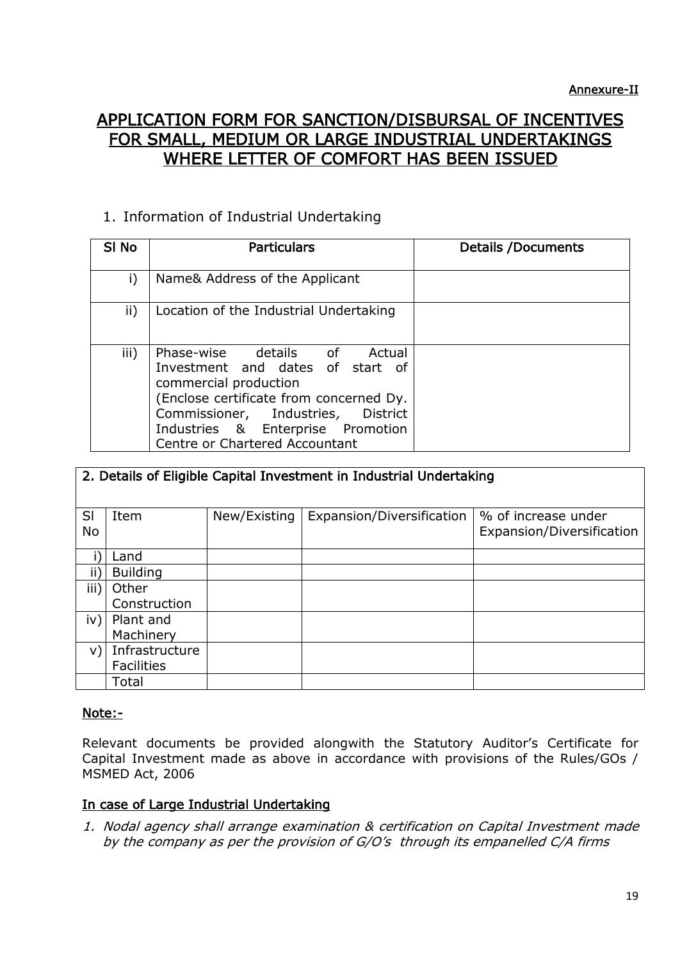# APPLICATION FORM FOR SANCTION/DISBURSAL OF INCENTIVES FOR SMALL, MEDIUM OR LARGE INDUSTRIAL UNDERTAKINGS WHERE LETTER OF COMFORT HAS BEEN ISSUED

# 1. Information of Industrial Undertaking

| SI No | <b>Particulars</b>                                                                                                                                                                                                                                             | <b>Details /Documents</b> |
|-------|----------------------------------------------------------------------------------------------------------------------------------------------------------------------------------------------------------------------------------------------------------------|---------------------------|
| i)    | Name& Address of the Applicant                                                                                                                                                                                                                                 |                           |
| ii)   | Location of the Industrial Undertaking                                                                                                                                                                                                                         |                           |
| iii)  | Phase-wise details of<br>Actual<br>Investment and dates of start of<br>commercial production<br>(Enclose certificate from concerned Dy.<br>Commissioner, Industries,<br><b>District</b><br>Industries & Enterprise Promotion<br>Centre or Chartered Accountant |                           |

|      | 2. Details of Eligible Capital Investment in Industrial Undertaking |              |                           |                           |  |  |  |  |
|------|---------------------------------------------------------------------|--------------|---------------------------|---------------------------|--|--|--|--|
|      |                                                                     |              |                           |                           |  |  |  |  |
|      |                                                                     |              |                           |                           |  |  |  |  |
| SI   | Item                                                                | New/Existing | Expansion/Diversification | % of increase under       |  |  |  |  |
| No   |                                                                     |              |                           | Expansion/Diversification |  |  |  |  |
|      |                                                                     |              |                           |                           |  |  |  |  |
|      | Land                                                                |              |                           |                           |  |  |  |  |
| ΪË   | <b>Building</b>                                                     |              |                           |                           |  |  |  |  |
| iii) | Other                                                               |              |                           |                           |  |  |  |  |
|      | Construction                                                        |              |                           |                           |  |  |  |  |
| iv)  | Plant and                                                           |              |                           |                           |  |  |  |  |
|      | Machinery                                                           |              |                           |                           |  |  |  |  |
| V)   | Infrastructure                                                      |              |                           |                           |  |  |  |  |
|      | <b>Facilities</b>                                                   |              |                           |                           |  |  |  |  |
|      | Total                                                               |              |                           |                           |  |  |  |  |

# Note:-

Relevant documents be provided alongwith the Statutory Auditor's Certificate for Capital Investment made as above in accordance with provisions of the Rules/GOs / MSMED Act, 2006

# In case of Large Industrial Undertaking

1. Nodal agency shall arrange examination & certification on Capital Investment made by the company as per the provision of G/O's through its empanelled C/A firms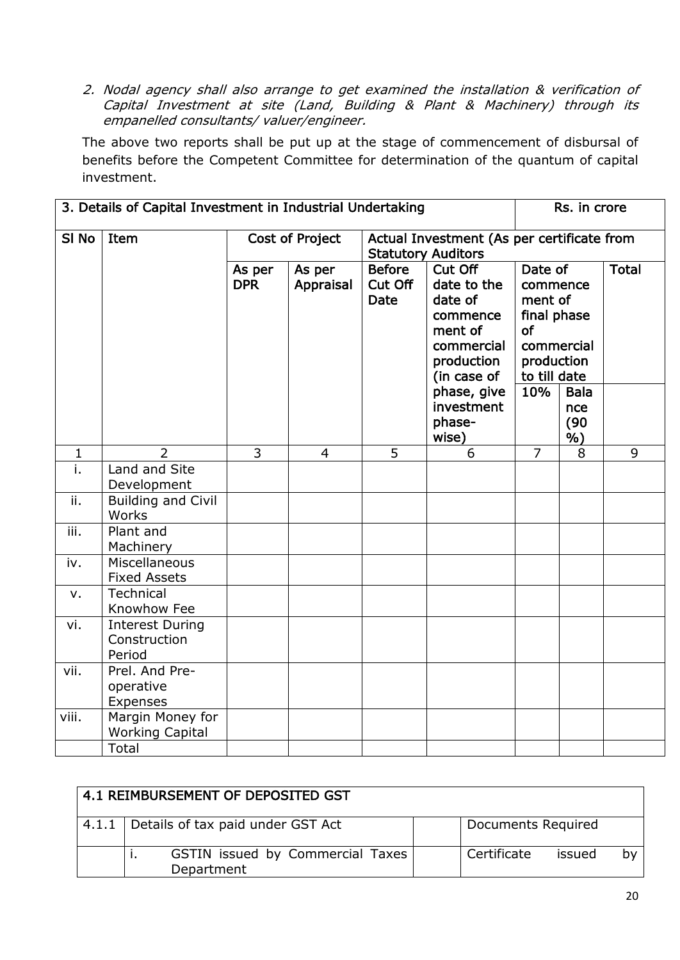2. Nodal agency shall also arrange to get examined the installation & verification of Capital Investment at site (Land, Building & Plant & Machinery) through its empanelled consultants/ valuer/engineer.

The above two reports shall be put up at the stage of commencement of disbursal of benefits before the Competent Committee for determination of the quantum of capital investment.

| 3. Details of Capital Investment in Industrial Undertaking |                                                  |                      |                        |                                                                         |                                                                                                     |                                                                                                        | Rs. in crore                     |              |  |
|------------------------------------------------------------|--------------------------------------------------|----------------------|------------------------|-------------------------------------------------------------------------|-----------------------------------------------------------------------------------------------------|--------------------------------------------------------------------------------------------------------|----------------------------------|--------------|--|
| SI <sub>No</sub>                                           | Item                                             |                      | <b>Cost of Project</b> | Actual Investment (As per certificate from<br><b>Statutory Auditors</b> |                                                                                                     |                                                                                                        |                                  |              |  |
|                                                            |                                                  | As per<br><b>DPR</b> | As per<br>Appraisal    | <b>Before</b><br>Cut Off<br><b>Date</b>                                 | Cut Off<br>date to the<br>date of<br>commence<br>ment of<br>commercial<br>production<br>(in case of | Date of<br>commence<br>ment of<br>final phase<br><b>of</b><br>commercial<br>production<br>to till date |                                  | <b>Total</b> |  |
|                                                            |                                                  |                      |                        |                                                                         | phase, give<br>investment<br>phase-<br>wise)                                                        | 10%                                                                                                    | <b>Bala</b><br>nce<br>(90)<br>%) |              |  |
| $\mathbf{1}$                                               | $\overline{2}$                                   | $\overline{3}$       | $\overline{4}$         | 5                                                                       | 6                                                                                                   | $\overline{7}$                                                                                         | 8                                | 9            |  |
| i.                                                         | Land and Site<br>Development                     |                      |                        |                                                                         |                                                                                                     |                                                                                                        |                                  |              |  |
| ii.                                                        | <b>Building and Civil</b><br>Works               |                      |                        |                                                                         |                                                                                                     |                                                                                                        |                                  |              |  |
| iii.                                                       | Plant and<br>Machinery                           |                      |                        |                                                                         |                                                                                                     |                                                                                                        |                                  |              |  |
| iv.                                                        | Miscellaneous<br><b>Fixed Assets</b>             |                      |                        |                                                                         |                                                                                                     |                                                                                                        |                                  |              |  |
| v.                                                         | <b>Technical</b><br>Knowhow Fee                  |                      |                        |                                                                         |                                                                                                     |                                                                                                        |                                  |              |  |
| vi.                                                        | <b>Interest During</b><br>Construction<br>Period |                      |                        |                                                                         |                                                                                                     |                                                                                                        |                                  |              |  |
| vii.                                                       | Prel. And Pre-<br>operative<br>Expenses          |                      |                        |                                                                         |                                                                                                     |                                                                                                        |                                  |              |  |
| viii.                                                      | Margin Money for<br><b>Working Capital</b>       |                      |                        |                                                                         |                                                                                                     |                                                                                                        |                                  |              |  |
|                                                            | Total                                            |                      |                        |                                                                         |                                                                                                     |                                                                                                        |                                  |              |  |

| 4.1 REIMBURSEMENT OF DEPOSITED GST                    |                             |  |  |  |  |  |  |
|-------------------------------------------------------|-----------------------------|--|--|--|--|--|--|
| 4.1.1   Details of tax paid under GST Act             | Documents Required          |  |  |  |  |  |  |
| GSTIN issued by Commercial Taxes<br>. .<br>Department | Certificate<br>issued<br>b٧ |  |  |  |  |  |  |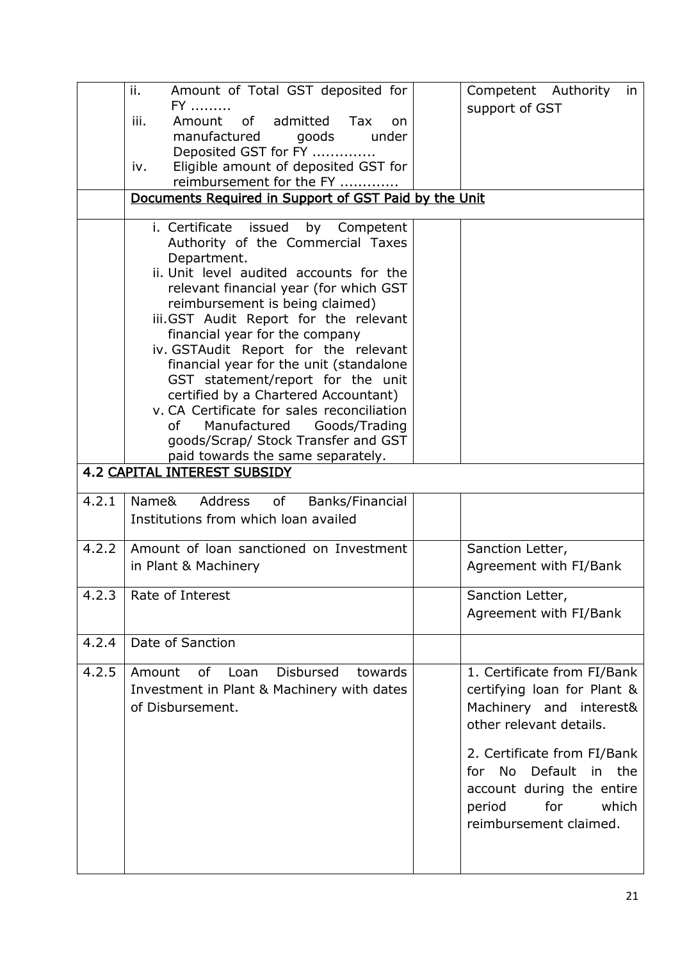|       | ii.<br>Amount of Total GST deposited for                                                                                                                                                                                                                                                                                                                                                                                                                                                                                                    | Competent Authority in                                                                                                                                                                                                                                               |
|-------|---------------------------------------------------------------------------------------------------------------------------------------------------------------------------------------------------------------------------------------------------------------------------------------------------------------------------------------------------------------------------------------------------------------------------------------------------------------------------------------------------------------------------------------------|----------------------------------------------------------------------------------------------------------------------------------------------------------------------------------------------------------------------------------------------------------------------|
|       | $FY$<br>admitted<br>Amount<br>of<br>iii.<br><b>Tax</b><br>on<br>manufactured<br>goods<br>under<br>Deposited GST for FY                                                                                                                                                                                                                                                                                                                                                                                                                      | support of GST                                                                                                                                                                                                                                                       |
|       | Eligible amount of deposited GST for<br>iv.<br>reimbursement for the FY                                                                                                                                                                                                                                                                                                                                                                                                                                                                     |                                                                                                                                                                                                                                                                      |
|       | Documents Required in Support of GST Paid by the Unit                                                                                                                                                                                                                                                                                                                                                                                                                                                                                       |                                                                                                                                                                                                                                                                      |
|       | i. Certificate issued by Competent<br>Authority of the Commercial Taxes<br>Department.<br>ii. Unit level audited accounts for the<br>relevant financial year (for which GST<br>reimbursement is being claimed)<br>iii.GST Audit Report for the relevant<br>financial year for the company<br>iv. GSTAudit Report for the relevant<br>financial year for the unit (standalone<br>GST statement/report for the unit<br>certified by a Chartered Accountant)<br>v. CA Certificate for sales reconciliation<br>of<br>Manufactured Goods/Trading |                                                                                                                                                                                                                                                                      |
|       | goods/Scrap/ Stock Transfer and GST<br>paid towards the same separately.                                                                                                                                                                                                                                                                                                                                                                                                                                                                    |                                                                                                                                                                                                                                                                      |
|       | <b>4.2 CAPITAL INTEREST SUBSIDY</b>                                                                                                                                                                                                                                                                                                                                                                                                                                                                                                         |                                                                                                                                                                                                                                                                      |
| 4.2.1 | Address<br>Name&<br>of<br>Banks/Financial<br>Institutions from which loan availed                                                                                                                                                                                                                                                                                                                                                                                                                                                           |                                                                                                                                                                                                                                                                      |
| 4.2.2 | Amount of loan sanctioned on Investment<br>in Plant & Machinery                                                                                                                                                                                                                                                                                                                                                                                                                                                                             | Sanction Letter,<br>Agreement with FI/Bank                                                                                                                                                                                                                           |
| 4.2.3 | Rate of Interest                                                                                                                                                                                                                                                                                                                                                                                                                                                                                                                            | Sanction Letter,<br>Agreement with FI/Bank                                                                                                                                                                                                                           |
| 4.2.4 | Date of Sanction                                                                                                                                                                                                                                                                                                                                                                                                                                                                                                                            |                                                                                                                                                                                                                                                                      |
| 4.2.5 | Disbursed<br>towards<br>Amount<br>of Loan<br>Investment in Plant & Machinery with dates<br>of Disbursement.                                                                                                                                                                                                                                                                                                                                                                                                                                 | 1. Certificate from FI/Bank<br>certifying loan for Plant &<br>Machinery and interest&<br>other relevant details.<br>2. Certificate from FI/Bank<br>No l<br>Default<br>in the<br>for<br>account during the entire<br>for<br>which<br>period<br>reimbursement claimed. |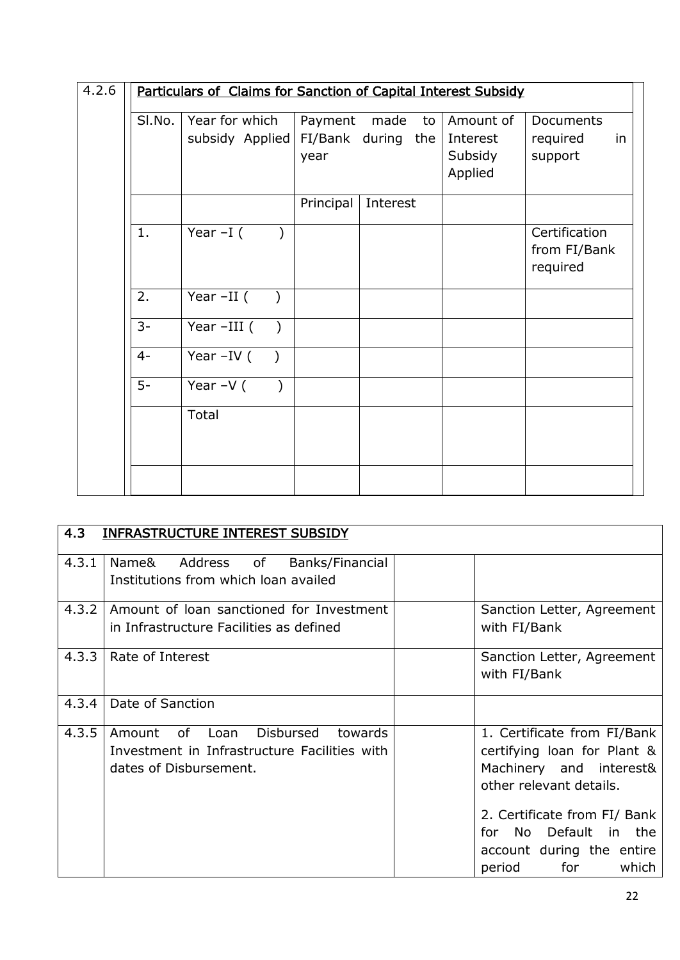| 4.2.6 | Particulars of Claims for Sanction of Capital Interest Subsidy |                                   |                      |                          |                                             |                                           |  |
|-------|----------------------------------------------------------------|-----------------------------------|----------------------|--------------------------|---------------------------------------------|-------------------------------------------|--|
|       | SI.No.                                                         | Year for which<br>subsidy Applied | Payment made<br>year | to<br>FI/Bank during the | Amount of<br>Interest<br>Subsidy<br>Applied | Documents<br>required<br>in<br>support    |  |
|       |                                                                |                                   | Principal            | Interest                 |                                             |                                           |  |
|       | 1.                                                             | Year $-I($                        |                      |                          |                                             | Certification<br>from FI/Bank<br>required |  |
|       | 2.                                                             | Year -II (<br>$\rightarrow$       |                      |                          |                                             |                                           |  |
|       | $3-$                                                           | Year $-III$ (<br>$\big)$          |                      |                          |                                             |                                           |  |
|       | $4-$                                                           | Year $-IV$ ( )                    |                      |                          |                                             |                                           |  |
|       | $5-$                                                           | Year $-V($ )                      |                      |                          |                                             |                                           |  |
|       |                                                                | Total                             |                      |                          |                                             |                                           |  |
|       |                                                                |                                   |                      |                          |                                             |                                           |  |

| 4.3   | <b>INFRASTRUCTURE INTEREST SUBSIDY</b>                                                                              |                                                                                                                                                                                                                                      |
|-------|---------------------------------------------------------------------------------------------------------------------|--------------------------------------------------------------------------------------------------------------------------------------------------------------------------------------------------------------------------------------|
| 4.3.1 | Address of<br>Name&<br>Banks/Financial<br>Institutions from which loan availed                                      |                                                                                                                                                                                                                                      |
| 4.3.2 | Amount of loan sanctioned for Investment<br>in Infrastructure Facilities as defined                                 | Sanction Letter, Agreement<br>with FI/Bank                                                                                                                                                                                           |
|       | 4.3.3   Rate of Interest                                                                                            | Sanction Letter, Agreement<br>with FI/Bank                                                                                                                                                                                           |
| 4.3.4 | Date of Sanction                                                                                                    |                                                                                                                                                                                                                                      |
| 4.3.5 | Disbursed<br>of Loan<br>Amount<br>towards<br>Investment in Infrastructure Facilities with<br>dates of Disbursement. | 1. Certificate from FI/Bank<br>certifying loan for Plant &<br>Machinery and interest&<br>other relevant details.<br>2. Certificate from FI/ Bank<br>No Default in the<br>for.<br>account during the entire<br>for<br>which<br>period |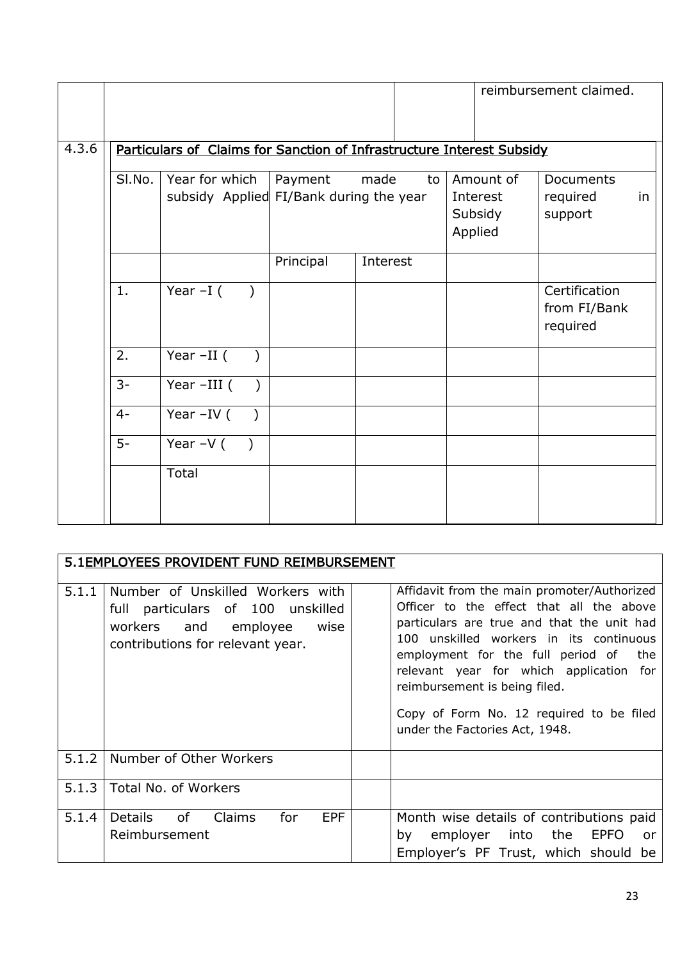|       |        |                                                                       |           |          |    |                                             | reimbursement claimed.                    |    |
|-------|--------|-----------------------------------------------------------------------|-----------|----------|----|---------------------------------------------|-------------------------------------------|----|
|       |        |                                                                       |           |          |    |                                             |                                           |    |
| 4.3.6 |        | Particulars of Claims for Sanction of Infrastructure Interest Subsidy |           |          |    |                                             |                                           |    |
|       | SI.No. | Year for which<br>subsidy Applied FI/Bank during the year             | Payment   | made     | to | Amount of<br>Interest<br>Subsidy<br>Applied | <b>Documents</b><br>required<br>support   | in |
|       |        |                                                                       | Principal | Interest |    |                                             |                                           |    |
|       | 1.     | Year $-I($<br>$\left( \begin{array}{c} \end{array} \right)$           |           |          |    |                                             | Certification<br>from FI/Bank<br>required |    |
|       | 2.     | Year $-II$ (<br>$\lambda$                                             |           |          |    |                                             |                                           |    |
|       | $3-$   | Year -III (<br>$\rightarrow$                                          |           |          |    |                                             |                                           |    |
|       | $4-$   | Year $-IV$ ( )                                                        |           |          |    |                                             |                                           |    |
|       | $5-$   | Year $-V($ )                                                          |           |          |    |                                             |                                           |    |
|       |        | Total                                                                 |           |          |    |                                             |                                           |    |

|       | 5.1EMPLOYEES PROVIDENT FUND REIMBURSEMENT                                                                                                 |                                                                                                                                                                                                                                                                                                                                                                                           |
|-------|-------------------------------------------------------------------------------------------------------------------------------------------|-------------------------------------------------------------------------------------------------------------------------------------------------------------------------------------------------------------------------------------------------------------------------------------------------------------------------------------------------------------------------------------------|
| 5.1.1 | Number of Unskilled Workers with<br>full particulars of 100 unskilled<br>workers and employee<br>wise<br>contributions for relevant year. | Affidavit from the main promoter/Authorized<br>Officer to the effect that all the above<br>particulars are true and that the unit had<br>100 unskilled workers in its continuous<br>employment for the full period of<br>the<br>relevant year for which application<br>for<br>reimbursement is being filed.<br>Copy of Form No. 12 required to be filed<br>under the Factories Act, 1948. |
|       | 5.1.2   Number of Other Workers                                                                                                           |                                                                                                                                                                                                                                                                                                                                                                                           |
| 5.1.3 | Total No. of Workers                                                                                                                      |                                                                                                                                                                                                                                                                                                                                                                                           |
| 5.1.4 | Details of<br>for<br><b>EPF</b><br>Claims<br>Reimbursement                                                                                | Month wise details of contributions paid<br>employer<br>into<br>the<br><b>EPFO</b><br>by<br><b>or</b><br>Employer's PF Trust, which should be                                                                                                                                                                                                                                             |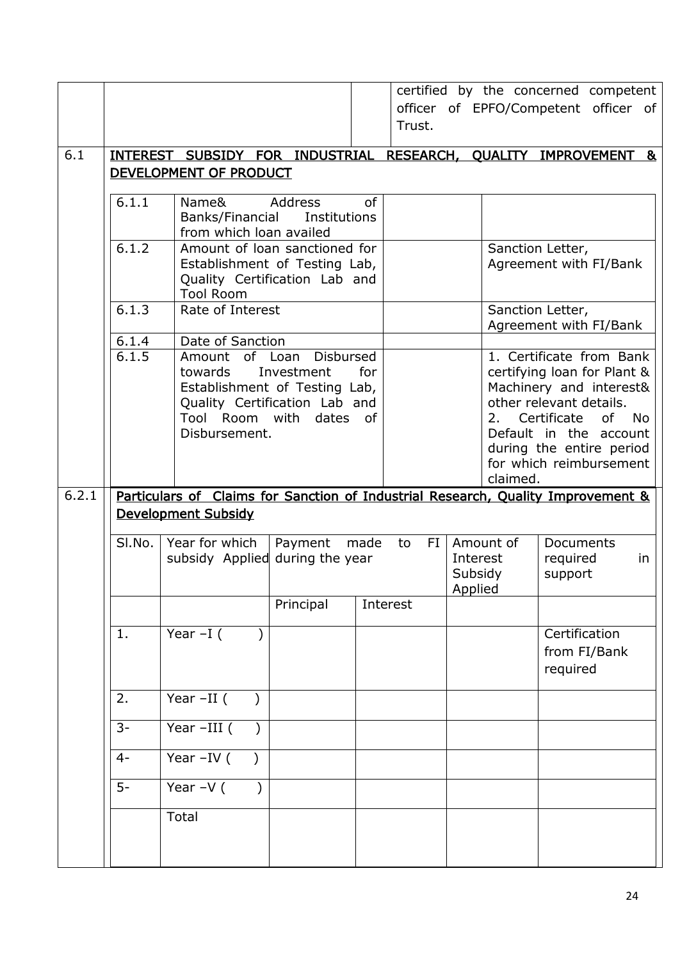|       |                |                                                                |                  |           |           |                    |           | certified by the concerned competent                                             |
|-------|----------------|----------------------------------------------------------------|------------------|-----------|-----------|--------------------|-----------|----------------------------------------------------------------------------------|
|       |                |                                                                |                  |           |           |                    |           | officer of EPFO/Competent officer of                                             |
|       |                |                                                                |                  |           | Trust.    |                    |           |                                                                                  |
| 6.1   |                |                                                                |                  |           |           |                    |           | INTEREST SUBSIDY FOR INDUSTRIAL RESEARCH, QUALITY IMPROVEMENT &                  |
|       |                | DEVELOPMENT OF PRODUCT                                         |                  |           |           |                    |           |                                                                                  |
|       | 6.1.1          | Name&                                                          | Address          | <b>of</b> |           |                    |           |                                                                                  |
|       |                | Banks/Financial                                                | Institutions     |           |           |                    |           |                                                                                  |
|       |                | from which loan availed                                        |                  |           |           |                    |           |                                                                                  |
|       | 6.1.2          | Amount of loan sanctioned for<br>Establishment of Testing Lab, |                  |           |           |                    |           | Sanction Letter,                                                                 |
|       |                | Quality Certification Lab and                                  |                  |           |           |                    |           | Agreement with FI/Bank                                                           |
|       |                | <b>Tool Room</b>                                               |                  |           |           |                    |           |                                                                                  |
|       | 6.1.3          | Rate of Interest                                               |                  |           |           |                    |           | Sanction Letter,                                                                 |
|       | 6.1.4          | Date of Sanction                                               |                  |           |           |                    |           | Agreement with FI/Bank                                                           |
|       | 6.1.5          | Amount of Loan                                                 | <b>Disbursed</b> |           |           |                    |           | 1. Certificate from Bank                                                         |
|       |                | towards                                                        | Investment       | for       |           |                    |           | certifying loan for Plant &                                                      |
|       |                | Establishment of Testing Lab,                                  |                  |           |           |                    |           | Machinery and interest&                                                          |
|       |                | Quality Certification Lab and<br>Tool Room with dates of       |                  |           |           |                    | 2.        | other relevant details.<br>Certificate<br>of l<br><b>No</b>                      |
|       |                | Disbursement.                                                  |                  |           |           |                    |           | Default in the account                                                           |
|       |                |                                                                |                  |           |           |                    |           | during the entire period                                                         |
|       |                |                                                                |                  |           |           |                    | claimed.  | for which reimbursement                                                          |
| 6.2.1 |                |                                                                |                  |           |           |                    |           | Particulars of Claims for Sanction of Industrial Research, Quality Improvement & |
|       |                | <b>Development Subsidy</b>                                     |                  |           |           |                    |           |                                                                                  |
|       | SI.No.         | Year for which                                                 | Payment          | made      | FI.<br>to |                    | Amount of | Documents                                                                        |
|       |                | subsidy Applied during the year                                |                  |           |           | Interest           |           | required<br>in                                                                   |
|       |                |                                                                |                  |           |           | Subsidy<br>Applied |           | support                                                                          |
|       |                |                                                                | Principal        |           | Interest  |                    |           |                                                                                  |
|       | $\mathbf{1}$ . | Year $-I($                                                     |                  |           |           |                    |           | Certification                                                                    |
|       |                |                                                                |                  |           |           |                    |           | from FI/Bank                                                                     |
|       |                |                                                                |                  |           |           |                    |           | required                                                                         |
|       | 2.             | Year $-II$ (                                                   |                  |           |           |                    |           |                                                                                  |
|       | $3-$           | Year-III (                                                     |                  |           |           |                    |           |                                                                                  |
|       | $4-$           | Year $-IV$ (                                                   |                  |           |           |                    |           |                                                                                  |
|       | $5-$           | Year $-V($<br>$\lambda$                                        |                  |           |           |                    |           |                                                                                  |
|       |                | Total                                                          |                  |           |           |                    |           |                                                                                  |
|       |                |                                                                |                  |           |           |                    |           |                                                                                  |
|       |                |                                                                |                  |           |           |                    |           |                                                                                  |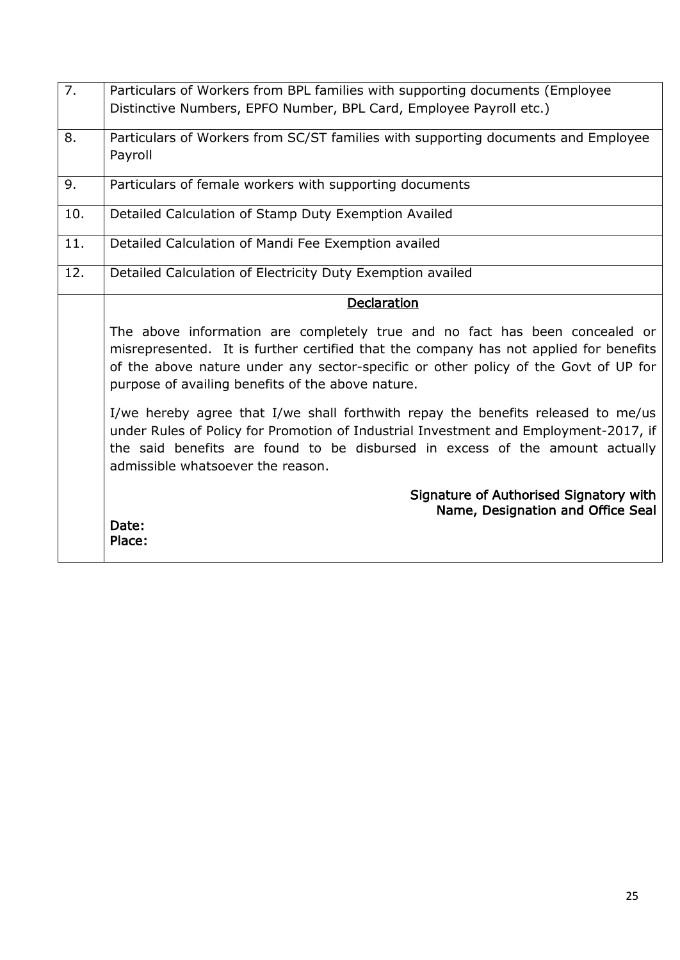| $\overline{7}$ . | Particulars of Workers from BPL families with supporting documents (Employee<br>Distinctive Numbers, EPFO Number, BPL Card, Employee Payroll etc.)                                                                                                                                                               |
|------------------|------------------------------------------------------------------------------------------------------------------------------------------------------------------------------------------------------------------------------------------------------------------------------------------------------------------|
| 8.               | Particulars of Workers from SC/ST families with supporting documents and Employee<br>Payroll                                                                                                                                                                                                                     |
| 9.               | Particulars of female workers with supporting documents                                                                                                                                                                                                                                                          |
| 10.              | Detailed Calculation of Stamp Duty Exemption Availed                                                                                                                                                                                                                                                             |
| 11.              | Detailed Calculation of Mandi Fee Exemption availed                                                                                                                                                                                                                                                              |
| 12.              | Detailed Calculation of Electricity Duty Exemption availed                                                                                                                                                                                                                                                       |
|                  | Declaration                                                                                                                                                                                                                                                                                                      |
|                  | The above information are completely true and no fact has been concealed or<br>misrepresented. It is further certified that the company has not applied for benefits<br>of the above nature under any sector-specific or other policy of the Govt of UP for<br>purpose of availing benefits of the above nature. |
|                  | I/we hereby agree that I/we shall forthwith repay the benefits released to me/us<br>under Rules of Policy for Promotion of Industrial Investment and Employment-2017, if<br>the said benefits are found to be disbursed in excess of the amount actually<br>admissible whatsoever the reason.                    |
|                  | Signature of Authorised Signatory with<br>Name, Designation and Office Seal<br>Date:<br>Place:                                                                                                                                                                                                                   |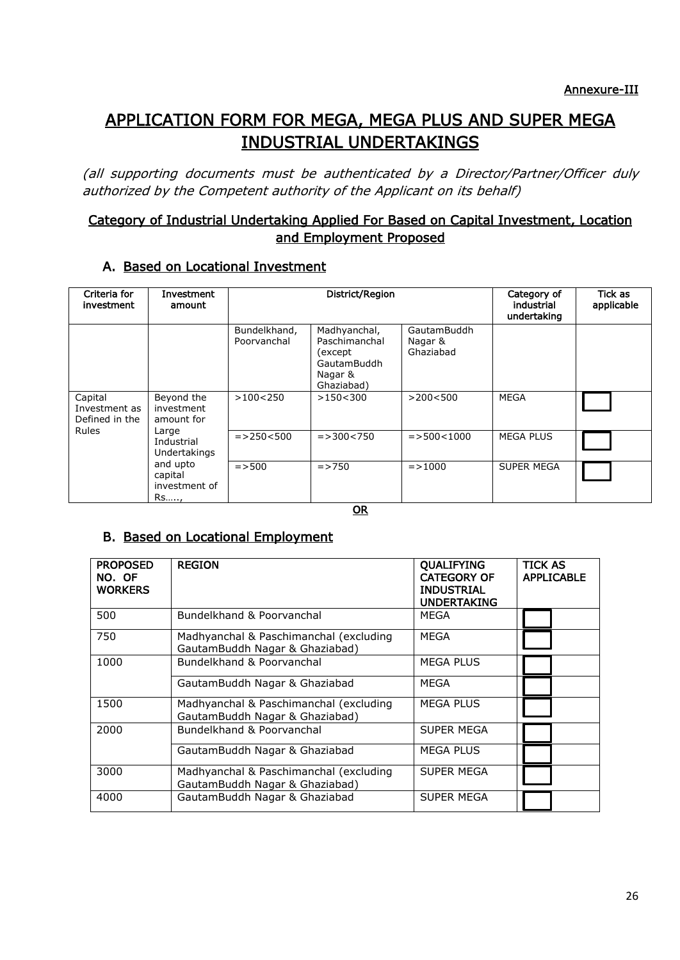# APPLICATION FORM FOR MEGA, MEGA PLUS AND SUPER MEGA INDUSTRIAL UNDERTAKINGS

(all supporting documents must be authenticated by a Director/Partner/Officer duly authorized by the Competent authority of the Applicant on its behalf)

# Category of Industrial Undertaking Applied For Based on Capital Investment, Location and Employment Proposed

## A. Based on Locational Investment

| Criteria for<br>investment                 | Investment<br>amount                                                                                                        | District/Region             |                                                                                  |                                     | Category of<br>industrial<br>undertaking | Tick as<br>applicable |
|--------------------------------------------|-----------------------------------------------------------------------------------------------------------------------------|-----------------------------|----------------------------------------------------------------------------------|-------------------------------------|------------------------------------------|-----------------------|
|                                            |                                                                                                                             | Bundelkhand,<br>Poorvanchal | Madhyanchal,<br>Paschimanchal<br>(except<br>GautamBuddh<br>Nagar &<br>Ghaziabad) | GautamBuddh<br>Nagar &<br>Ghaziabad |                                          |                       |
| Capital<br>Investment as<br>Defined in the | Beyond the<br>investment<br>amount for<br>Large<br>Industrial<br>Undertakings<br>and upto<br>capital<br>investment of<br>Rs | >100<250                    | >150<300                                                                         | >200<500                            | MEGA                                     |                       |
| <b>Rules</b>                               |                                                                                                                             | $=$ > 250 < 500             | $=$ > 300 < 750                                                                  | $=$ > 500 < 1000                    | <b>MEGA PLUS</b>                         |                       |
|                                            |                                                                                                                             | $=$ > 500                   | $=$ > 750                                                                        | $=$ > 1000                          | <b>SUPER MEGA</b>                        |                       |

**OR** 

# B. Based on Locational Employment

| <b>PROPOSED</b><br>NO. OF<br><b>WORKERS</b> | <b>REGION</b>                                                            | <b>QUALIFYING</b><br><b>CATEGORY OF</b><br><b>INDUSTRIAL</b><br><b>UNDERTAKING</b> | <b>TICK AS</b><br><b>APPLICABLE</b> |
|---------------------------------------------|--------------------------------------------------------------------------|------------------------------------------------------------------------------------|-------------------------------------|
| 500                                         | Bundelkhand & Poorvanchal                                                | MEGA                                                                               |                                     |
| 750                                         | Madhyanchal & Paschimanchal (excluding<br>GautamBuddh Nagar & Ghaziabad) | <b>MEGA</b>                                                                        |                                     |
| 1000                                        | Bundelkhand & Poorvanchal                                                | <b>MEGA PLUS</b>                                                                   |                                     |
|                                             | GautamBuddh Nagar & Ghaziabad                                            | MEGA                                                                               |                                     |
| 1500                                        | Madhyanchal & Paschimanchal (excluding<br>GautamBuddh Nagar & Ghaziabad) | <b>MEGA PLUS</b>                                                                   |                                     |
| 2000                                        | Bundelkhand & Poorvanchal                                                | SUPER MEGA                                                                         |                                     |
|                                             | GautamBuddh Nagar & Ghaziabad                                            | <b>MEGA PLUS</b>                                                                   |                                     |
| 3000                                        | Madhyanchal & Paschimanchal (excluding<br>GautamBuddh Nagar & Ghaziabad) | SUPER MEGA                                                                         |                                     |
| 4000                                        | GautamBuddh Nagar & Ghaziabad                                            | SUPER MEGA                                                                         |                                     |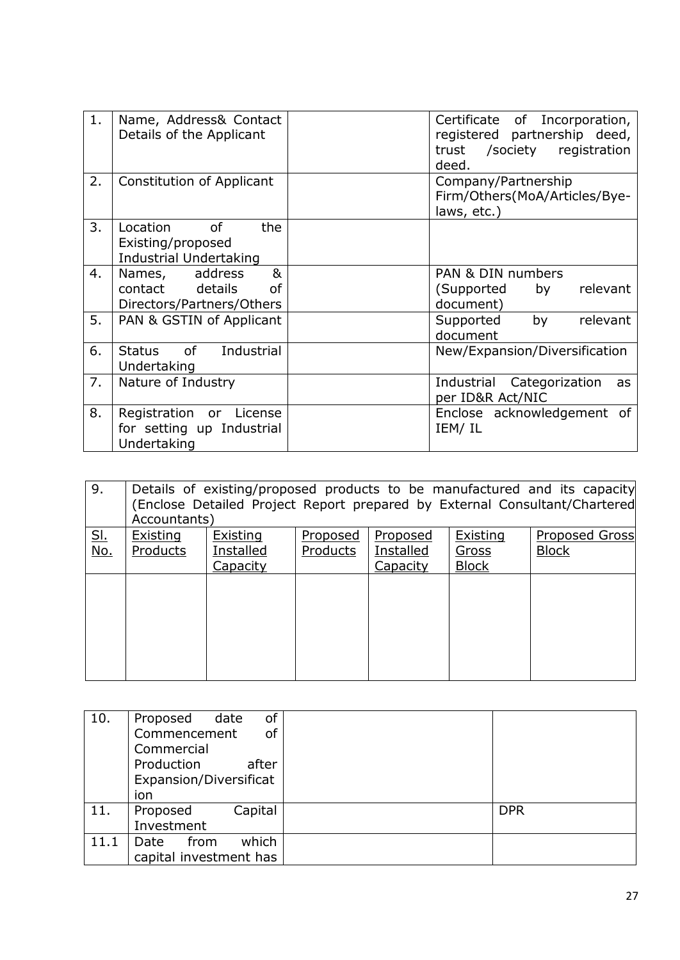| 1. | Name, Address& Contact<br>Details of the Applicant                          | Certificate of Incorporation,<br>registered partnership deed,<br>trust /society registration<br>deed. |
|----|-----------------------------------------------------------------------------|-------------------------------------------------------------------------------------------------------|
| 2. | Constitution of Applicant                                                   | Company/Partnership<br>Firm/Others(MoA/Articles/Bye-<br>laws, etc.)                                   |
| 3. | Location<br>of<br>the<br>Existing/proposed<br><b>Industrial Undertaking</b> |                                                                                                       |
| 4. | Names, address<br>&<br>contact details<br>of<br>Directors/Partners/Others   | PAN & DIN numbers<br>by<br>relevant<br>(Supported<br>document)                                        |
| 5. | PAN & GSTIN of Applicant                                                    | by<br>relevant<br>Supported<br>document                                                               |
| 6. | Status of Industrial<br>Undertaking                                         | New/Expansion/Diversification                                                                         |
| 7. | Nature of Industry                                                          | Industrial Categorization<br>as<br>per ID&R Act/NIC                                                   |
| 8. | Registration or License<br>for setting up Industrial<br>Undertaking         | Enclose acknowledgement<br>of<br>IEM/IL                                                               |

| 9.         | Details of existing/proposed products to be manufactured and its capacity<br>(Enclose Detailed Project Report prepared by External Consultant/Chartered<br>Accountants) |                 |          |                 |                 |                       |  |  |
|------------|-------------------------------------------------------------------------------------------------------------------------------------------------------------------------|-----------------|----------|-----------------|-----------------|-----------------------|--|--|
| <u>SI.</u> | Existing                                                                                                                                                                | <b>Existing</b> | Proposed | <b>Proposed</b> | <b>Existing</b> | <b>Proposed Gross</b> |  |  |
| No.        | Products                                                                                                                                                                | Installed       | Products | Installed       | Gross           | <b>Block</b>          |  |  |
|            |                                                                                                                                                                         | Capacity        |          | Capacity        | <b>Block</b>    |                       |  |  |
|            |                                                                                                                                                                         |                 |          |                 |                 |                       |  |  |
|            |                                                                                                                                                                         |                 |          |                 |                 |                       |  |  |
|            |                                                                                                                                                                         |                 |          |                 |                 |                       |  |  |
|            |                                                                                                                                                                         |                 |          |                 |                 |                       |  |  |
|            |                                                                                                                                                                         |                 |          |                 |                 |                       |  |  |
|            |                                                                                                                                                                         |                 |          |                 |                 |                       |  |  |
|            |                                                                                                                                                                         |                 |          |                 |                 |                       |  |  |

| 10.  | of<br>Proposed<br>date<br>Commencement<br><sub>of</sub><br>Commercial<br>Production<br>after<br>Expansion/Diversificat<br>ion |            |
|------|-------------------------------------------------------------------------------------------------------------------------------|------------|
| 11.  | Capital<br>Proposed<br>Investment                                                                                             | <b>DPR</b> |
| 11.1 | which<br>Date<br>from<br>capital investment has                                                                               |            |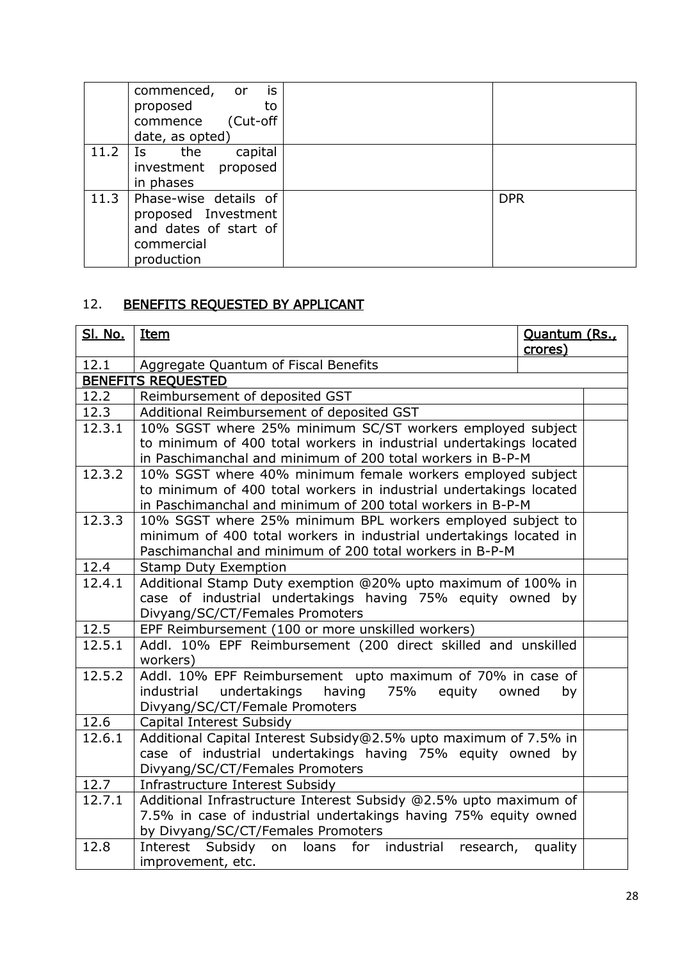|      | commenced,<br>is<br>- or<br>proposed<br>to<br>(Cut-off<br>commence<br>date, as opted)             |            |
|------|---------------------------------------------------------------------------------------------------|------------|
| 11.2 | capital<br>the<br>Is<br>investment proposed<br>in phases                                          |            |
| 11.3 | Phase-wise details of<br>proposed Investment<br>and dates of start of<br>commercial<br>production | <b>DPR</b> |

# 12. BENEFITS REQUESTED BY APPLICANT

| <b>Sl. No.</b> | <u>Item</u>                                                        | Quantum (Rs., |
|----------------|--------------------------------------------------------------------|---------------|
|                |                                                                    | crores)       |
| 12.1           | Aggregate Quantum of Fiscal Benefits                               |               |
|                | <b>BENEFITS REQUESTED</b>                                          |               |
| 12.2           | Reimbursement of deposited GST                                     |               |
| 12.3           | Additional Reimbursement of deposited GST                          |               |
| 12.3.1         | 10% SGST where 25% minimum SC/ST workers employed subject          |               |
|                | to minimum of 400 total workers in industrial undertakings located |               |
|                | in Paschimanchal and minimum of 200 total workers in B-P-M         |               |
| 12.3.2         | 10% SGST where 40% minimum female workers employed subject         |               |
|                | to minimum of 400 total workers in industrial undertakings located |               |
|                | in Paschimanchal and minimum of 200 total workers in B-P-M         |               |
| 12.3.3         | 10% SGST where 25% minimum BPL workers employed subject to         |               |
|                | minimum of 400 total workers in industrial undertakings located in |               |
|                | Paschimanchal and minimum of 200 total workers in B-P-M            |               |
| 12.4           | <b>Stamp Duty Exemption</b>                                        |               |
| 12.4.1         | Additional Stamp Duty exemption @20% upto maximum of 100% in       |               |
|                | case of industrial undertakings having 75% equity owned by         |               |
|                | Divyang/SC/CT/Females Promoters                                    |               |
| 12.5           | EPF Reimbursement (100 or more unskilled workers)                  |               |
| 12.5.1         | Addl. 10% EPF Reimbursement (200 direct skilled and unskilled      |               |
|                | workers)                                                           |               |
| 12.5.2         | Addl. 10% EPF Reimbursement upto maximum of 70% in case of         |               |
|                | undertakings<br>having<br>industrial<br>75%<br>equity              | owned<br>by   |
|                | Divyang/SC/CT/Female Promoters                                     |               |
| 12.6           | Capital Interest Subsidy                                           |               |
| 12.6.1         | Additional Capital Interest Subsidy@2.5% upto maximum of 7.5% in   |               |
|                | case of industrial undertakings having 75% equity owned by         |               |
|                | Divyang/SC/CT/Females Promoters                                    |               |
| 12.7           | Infrastructure Interest Subsidy                                    |               |
| 12.7.1         | Additional Infrastructure Interest Subsidy @2.5% upto maximum of   |               |
|                | 7.5% in case of industrial undertakings having 75% equity owned    |               |
|                | by Divyang/SC/CT/Females Promoters                                 |               |
| 12.8           | Subsidy on loans for industrial research, quality<br>Interest      |               |
|                | improvement, etc.                                                  |               |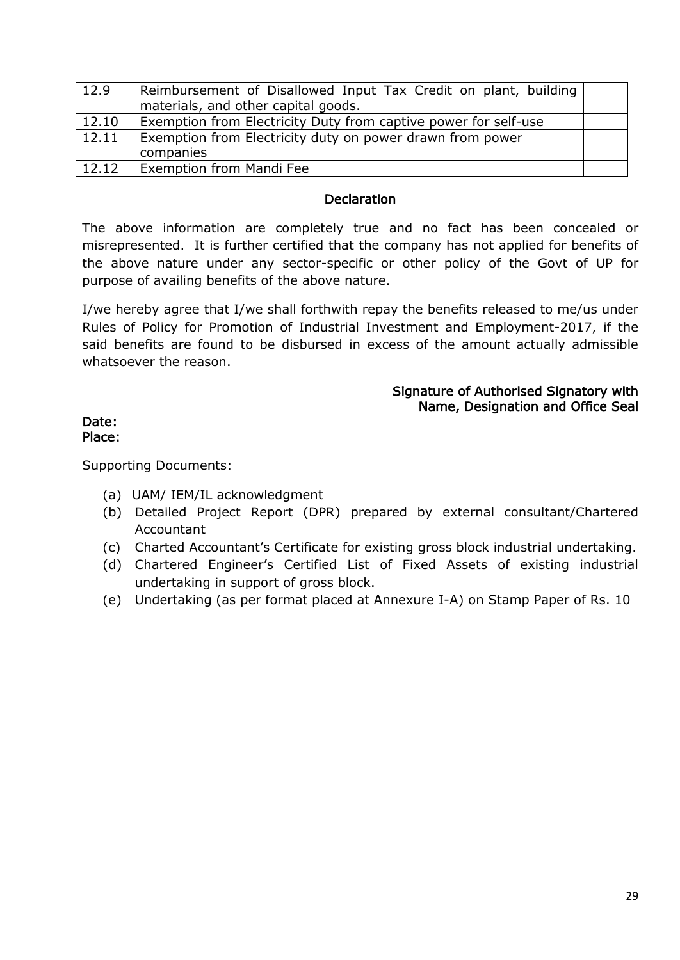| 12.9  | Reimbursement of Disallowed Input Tax Credit on plant, building<br>materials, and other capital goods. |  |
|-------|--------------------------------------------------------------------------------------------------------|--|
| 12.10 | Exemption from Electricity Duty from captive power for self-use                                        |  |
| 12.11 | Exemption from Electricity duty on power drawn from power                                              |  |
|       | companies                                                                                              |  |
| 12.12 | Exemption from Mandi Fee                                                                               |  |

## **Declaration**

The above information are completely true and no fact has been concealed or misrepresented. It is further certified that the company has not applied for benefits of the above nature under any sector-specific or other policy of the Govt of UP for purpose of availing benefits of the above nature.

I/we hereby agree that I/we shall forthwith repay the benefits released to me/us under Rules of Policy for Promotion of Industrial Investment and Employment-2017, if the said benefits are found to be disbursed in excess of the amount actually admissible whatsoever the reason.

#### Signature of Authorised Signatory with Name, Designation and Office Seal

#### Date: Place:

Supporting Documents:

- (a) UAM/ IEM/IL acknowledgment
- (b) Detailed Project Report (DPR) prepared by external consultant/Chartered Accountant
- (c) Charted Accountant's Certificate for existing gross block industrial undertaking.
- (d) Chartered Engineer's Certified List of Fixed Assets of existing industrial undertaking in support of gross block.
- (e) Undertaking (as per format placed at Annexure I-A) on Stamp Paper of Rs. 10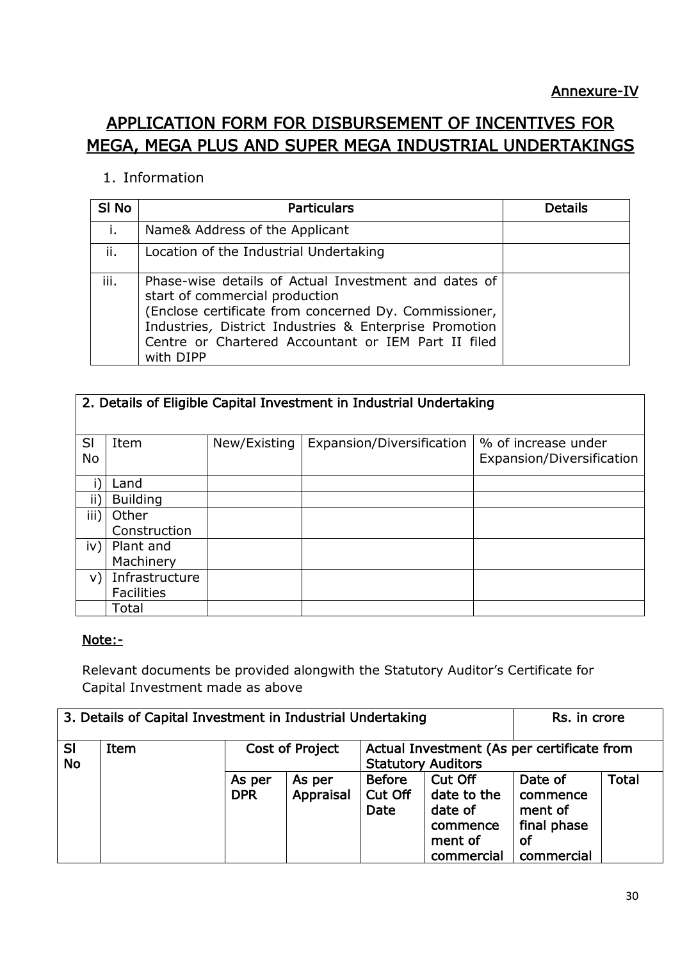# APPLICATION FORM FOR DISBURSEMENT OF INCENTIVES FOR MEGA, MEGA PLUS AND SUPER MEGA INDUSTRIAL UNDERTAKINGS

# 1. Information

| SI <sub>No</sub> | <b>Particulars</b>                                                                                                                                                                                                                                                            | Details |
|------------------|-------------------------------------------------------------------------------------------------------------------------------------------------------------------------------------------------------------------------------------------------------------------------------|---------|
| j.               | Name& Address of the Applicant                                                                                                                                                                                                                                                |         |
| ii.              | Location of the Industrial Undertaking                                                                                                                                                                                                                                        |         |
| iii.             | Phase-wise details of Actual Investment and dates of<br>start of commercial production<br>(Enclose certificate from concerned Dy. Commissioner,<br>Industries, District Industries & Enterprise Promotion<br>Centre or Chartered Accountant or IEM Part II filed<br>with DIPP |         |

|           | 2. Details of Eligible Capital Investment in Industrial Undertaking |              |                           |                           |  |  |  |  |
|-----------|---------------------------------------------------------------------|--------------|---------------------------|---------------------------|--|--|--|--|
|           |                                                                     |              |                           |                           |  |  |  |  |
|           |                                                                     |              |                           |                           |  |  |  |  |
| SI        | Item                                                                | New/Existing | Expansion/Diversification | % of increase under       |  |  |  |  |
| <b>No</b> |                                                                     |              |                           | Expansion/Diversification |  |  |  |  |
|           |                                                                     |              |                           |                           |  |  |  |  |
|           |                                                                     |              |                           |                           |  |  |  |  |
|           | Land                                                                |              |                           |                           |  |  |  |  |
| ij,       | <b>Building</b>                                                     |              |                           |                           |  |  |  |  |
| iii)      | Other                                                               |              |                           |                           |  |  |  |  |
|           | Construction                                                        |              |                           |                           |  |  |  |  |
| iv)       | Plant and                                                           |              |                           |                           |  |  |  |  |
|           | Machinery                                                           |              |                           |                           |  |  |  |  |
| V)        | Infrastructure                                                      |              |                           |                           |  |  |  |  |
|           | <b>Facilities</b>                                                   |              |                           |                           |  |  |  |  |
|           | Total                                                               |              |                           |                           |  |  |  |  |

# Note:-

Relevant documents be provided alongwith the Statutory Auditor's Certificate for Capital Investment made as above

| 3. Details of Capital Investment in Industrial Undertaking |      |                      |                     |                                                                         | Rs. in crore                                                           |                                                                   |              |
|------------------------------------------------------------|------|----------------------|---------------------|-------------------------------------------------------------------------|------------------------------------------------------------------------|-------------------------------------------------------------------|--------------|
| <b>SI</b><br><b>No</b>                                     | Item | Cost of Project      |                     | Actual Investment (As per certificate from<br><b>Statutory Auditors</b> |                                                                        |                                                                   |              |
|                                                            |      | As per<br><b>DPR</b> | As per<br>Appraisal | <b>Before</b><br>Cut Off<br>Date                                        | Cut Off<br>date to the<br>date of<br>commence<br>ment of<br>commercial | Date of<br>commence<br>ment of<br>final phase<br>οf<br>commercial | <b>Total</b> |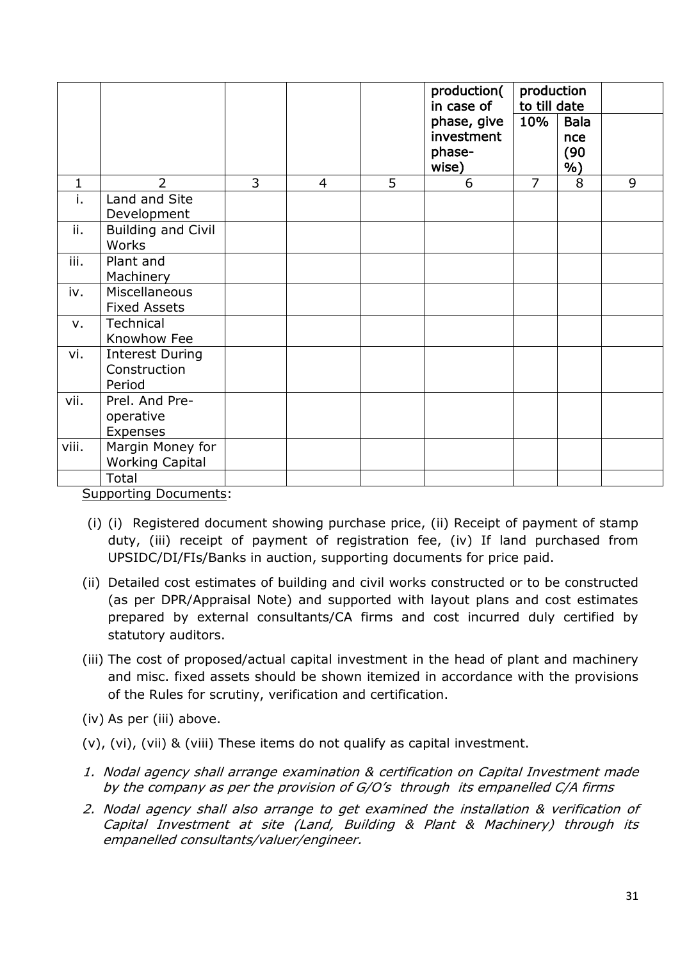|              |                                                  |   |                |   | production(<br>in case of                    |                | production<br>to till date       |   |
|--------------|--------------------------------------------------|---|----------------|---|----------------------------------------------|----------------|----------------------------------|---|
|              |                                                  |   |                |   | phase, give<br>investment<br>phase-<br>wise) | 10%            | <b>Bala</b><br>nce<br>(90)<br>%) |   |
| $\mathbf{1}$ | $\overline{2}$                                   | 3 | $\overline{4}$ | 5 | 6                                            | $\overline{7}$ | 8                                | 9 |
| i.           | Land and Site<br>Development                     |   |                |   |                                              |                |                                  |   |
| ii.          | <b>Building and Civil</b><br>Works               |   |                |   |                                              |                |                                  |   |
| iii.         | Plant and<br>Machinery                           |   |                |   |                                              |                |                                  |   |
| iv.          | Miscellaneous<br><b>Fixed Assets</b>             |   |                |   |                                              |                |                                  |   |
| v.           | Technical<br>Knowhow Fee                         |   |                |   |                                              |                |                                  |   |
| vi.          | <b>Interest During</b><br>Construction<br>Period |   |                |   |                                              |                |                                  |   |
| vii.         | Prel. And Pre-<br>operative<br>Expenses          |   |                |   |                                              |                |                                  |   |
| viii.        | Margin Money for<br><b>Working Capital</b>       |   |                |   |                                              |                |                                  |   |
|              | Total                                            |   |                |   |                                              |                |                                  |   |

Supporting Documents:

- (i) (i) Registered document showing purchase price, (ii) Receipt of payment of stamp duty, (iii) receipt of payment of registration fee, (iv) If land purchased from UPSIDC/DI/FIs/Banks in auction, supporting documents for price paid.
- (ii) Detailed cost estimates of building and civil works constructed or to be constructed (as per DPR/Appraisal Note) and supported with layout plans and cost estimates prepared by external consultants/CA firms and cost incurred duly certified by statutory auditors.
- (iii) The cost of proposed/actual capital investment in the head of plant and machinery and misc. fixed assets should be shown itemized in accordance with the provisions of the Rules for scrutiny, verification and certification.
- (iv) As per (iii) above.
- (v), (vi), (vii) & (viii) These items do not qualify as capital investment.
- 1. Nodal agency shall arrange examination & certification on Capital Investment made by the company as per the provision of G/O's through its empanelled C/A firms
- 2. Nodal agency shall also arrange to get examined the installation & verification of Capital Investment at site (Land, Building & Plant & Machinery) through its empanelled consultants/valuer/engineer.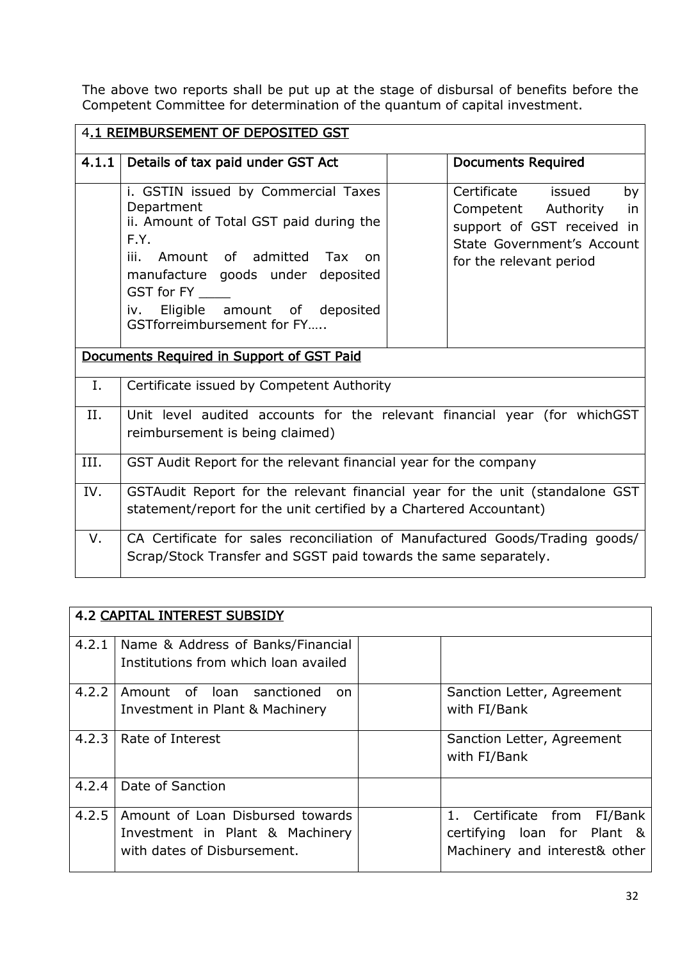The above two reports shall be put up at the stage of disbursal of benefits before the Competent Committee for determination of the quantum of capital investment.

|       | 4.1 REIMBURSEMENT OF DEPOSITED GST                                                                                                                                                                                                                                   |                                                                                                                                                 |  |  |  |
|-------|----------------------------------------------------------------------------------------------------------------------------------------------------------------------------------------------------------------------------------------------------------------------|-------------------------------------------------------------------------------------------------------------------------------------------------|--|--|--|
| 4.1.1 | Details of tax paid under GST Act                                                                                                                                                                                                                                    | <b>Documents Required</b>                                                                                                                       |  |  |  |
|       | i. GSTIN issued by Commercial Taxes<br>Department<br>ii. Amount of Total GST paid during the<br>F.Y.<br>Amount of admitted Tax<br>iii.<br>on<br>manufacture goods under deposited<br>GST for FY<br>Eligible amount of deposited<br>iv.<br>GSTforreimbursement for FY | Certificate<br>issued<br>by<br>Competent Authority<br>in<br>support of GST received in<br>State Government's Account<br>for the relevant period |  |  |  |
|       | Documents Required in Support of GST Paid                                                                                                                                                                                                                            |                                                                                                                                                 |  |  |  |
| Ι.    | Certificate issued by Competent Authority                                                                                                                                                                                                                            |                                                                                                                                                 |  |  |  |
| II.   | Unit level audited accounts for the relevant financial year (for whichGST<br>reimbursement is being claimed)                                                                                                                                                         |                                                                                                                                                 |  |  |  |
| III.  | GST Audit Report for the relevant financial year for the company                                                                                                                                                                                                     |                                                                                                                                                 |  |  |  |
| IV.   | GSTAudit Report for the relevant financial year for the unit (standalone GST<br>statement/report for the unit certified by a Chartered Accountant)                                                                                                                   |                                                                                                                                                 |  |  |  |
| V.    | CA Certificate for sales reconciliation of Manufactured Goods/Trading goods/<br>Scrap/Stock Transfer and SGST paid towards the same separately.                                                                                                                      |                                                                                                                                                 |  |  |  |

|       | <b>4.2 CAPITAL INTEREST SUBSIDY</b>                                                                |                                                                                             |
|-------|----------------------------------------------------------------------------------------------------|---------------------------------------------------------------------------------------------|
| 4.2.1 | Name & Address of Banks/Financial<br>Institutions from which loan availed                          |                                                                                             |
| 4.2.2 | Amount of loan sanctioned<br>on<br>Investment in Plant & Machinery                                 | Sanction Letter, Agreement<br>with FI/Bank                                                  |
|       | 4.2.3   Rate of Interest                                                                           | Sanction Letter, Agreement<br>with FI/Bank                                                  |
| 4.2.4 | Date of Sanction                                                                                   |                                                                                             |
| 4.2.5 | Amount of Loan Disbursed towards<br>Investment in Plant & Machinery<br>with dates of Disbursement. | 1. Certificate from FI/Bank<br>certifying loan for Plant &<br>Machinery and interest& other |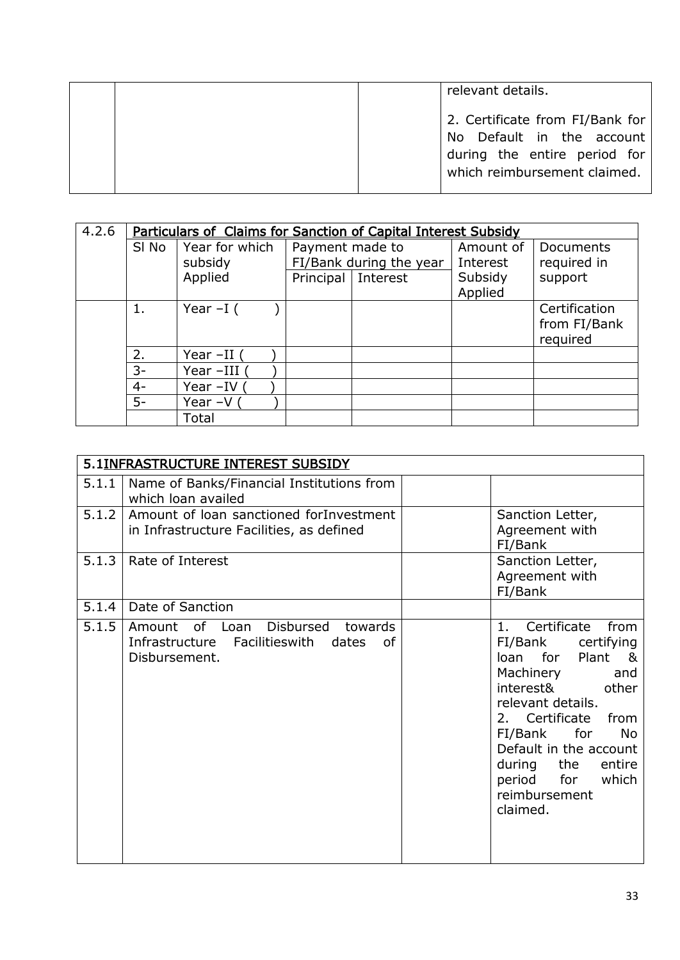| relevant details.                                                                                                            |
|------------------------------------------------------------------------------------------------------------------------------|
| 2. Certificate from FI/Bank for<br>No Default in the account<br>during the entire period for<br>which reimbursement claimed. |

| 4.2.6 |       | <b>Particulars of Claims for Sanction of Capital Interest Subsidy</b> |                      |                         |           |               |
|-------|-------|-----------------------------------------------------------------------|----------------------|-------------------------|-----------|---------------|
|       | SI No | Year for which                                                        | Payment made to      |                         | Amount of | Documents     |
|       |       | subsidy                                                               |                      | FI/Bank during the year | Interest  | required in   |
|       |       | Applied                                                               | Principal   Interest |                         | Subsidy   | support       |
|       |       |                                                                       |                      |                         | Applied   |               |
|       | 1.    | Year $-I($                                                            |                      |                         |           | Certification |
|       |       |                                                                       |                      |                         |           | from FI/Bank  |
|       |       |                                                                       |                      |                         |           | required      |
|       | 2.    | Year $-II$                                                            |                      |                         |           |               |
|       | $3-$  | Year-III (                                                            |                      |                         |           |               |
|       | $4-$  | Year -IV (                                                            |                      |                         |           |               |
|       | $5-$  | Year $-V($                                                            |                      |                         |           |               |
|       |       | Total                                                                 |                      |                         |           |               |

|       | 5.1INFRASTRUCTURE INTEREST SUBSIDY                                                                    |                                                                                                                                                                                                                                                                                                |
|-------|-------------------------------------------------------------------------------------------------------|------------------------------------------------------------------------------------------------------------------------------------------------------------------------------------------------------------------------------------------------------------------------------------------------|
| 5.1.1 | Name of Banks/Financial Institutions from<br>which loan availed                                       |                                                                                                                                                                                                                                                                                                |
| 5.1.2 | Amount of loan sanctioned for Investment<br>in Infrastructure Facilities, as defined                  | Sanction Letter,<br>Agreement with<br>FI/Bank                                                                                                                                                                                                                                                  |
| 5.1.3 | Rate of Interest                                                                                      | Sanction Letter,<br>Agreement with<br>FI/Bank                                                                                                                                                                                                                                                  |
| 5.1.4 | Date of Sanction                                                                                      |                                                                                                                                                                                                                                                                                                |
| 5.1.5 | Amount of Loan<br>Disbursed<br>towards<br>Infrastructure Facilities with dates<br>0f<br>Disbursement. | Certificate<br>from<br>1.<br>FI/Bank certifying<br>loan for Plant<br>8<br>Machinery<br>and<br>interest& other<br>relevant details.<br>2. Certificate<br>from<br>FI/Bank for<br><b>No</b><br>Default in the account<br>during the<br>entire<br>period for<br>which<br>reimbursement<br>claimed. |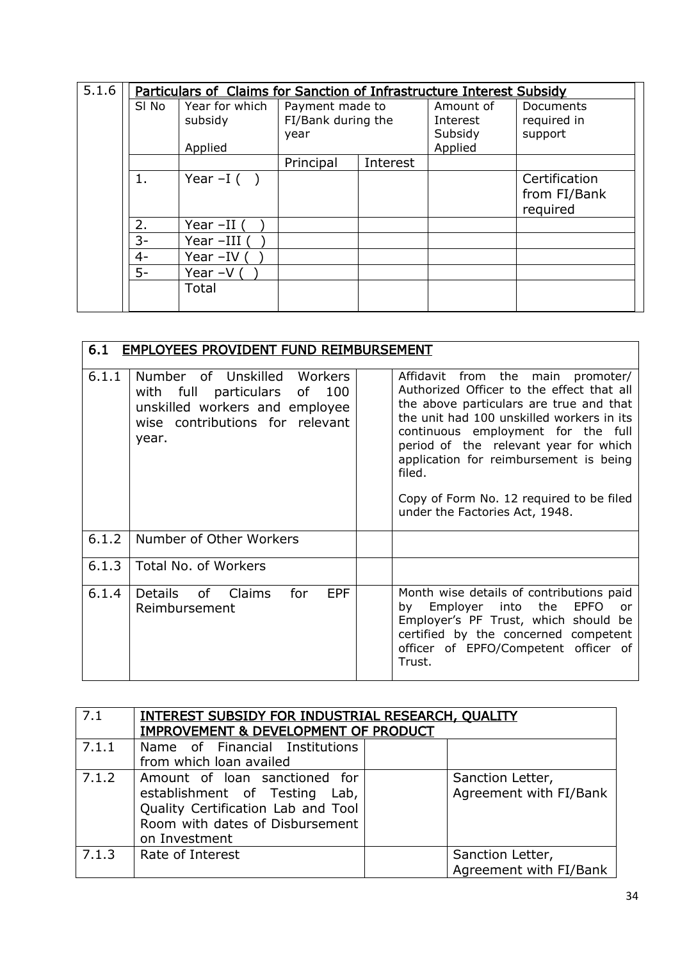| 5.1.6 |       | <b>Particulars of Claims for Sanction of Infrastructure Interest Subsidy</b> |                    |          |           |               |
|-------|-------|------------------------------------------------------------------------------|--------------------|----------|-----------|---------------|
|       | SI No | Year for which                                                               | Payment made to    |          | Amount of | Documents     |
|       |       | subsidy                                                                      | FI/Bank during the |          | Interest  | required in   |
|       |       |                                                                              | year               |          | Subsidy   | support       |
|       |       | Applied                                                                      |                    |          | Applied   |               |
|       |       |                                                                              | Principal          | Interest |           |               |
|       | 1.    | Year $-I( )$                                                                 |                    |          |           | Certification |
|       |       |                                                                              |                    |          |           | from FI/Bank  |
|       |       |                                                                              |                    |          |           | required      |
|       | 2.    | Year -II (                                                                   |                    |          |           |               |
|       | $3-$  | Year-III (                                                                   |                    |          |           |               |
|       | $4-$  | Year $-IV$ (                                                                 |                    |          |           |               |
|       | $5-$  | Year $-V($                                                                   |                    |          |           |               |
|       |       | Total                                                                        |                    |          |           |               |
|       |       |                                                                              |                    |          |           |               |

| 6.1   | <b>EMPLOYEES PROVIDENT FUND REIMBURSEMENT</b>                                                                                                |                                                                                                                                                                                                                                                                                                                                                                                         |
|-------|----------------------------------------------------------------------------------------------------------------------------------------------|-----------------------------------------------------------------------------------------------------------------------------------------------------------------------------------------------------------------------------------------------------------------------------------------------------------------------------------------------------------------------------------------|
| 6.1.1 | Number of Unskilled Workers<br>100<br>with full particulars of<br>unskilled workers and employee<br>wise contributions for relevant<br>year. | Affidavit from the main promoter/<br>Authorized Officer to the effect that all<br>the above particulars are true and that<br>the unit had 100 unskilled workers in its<br>continuous employment for the full<br>period of the relevant year for which<br>application for reimbursement is being<br>filed.<br>Copy of Form No. 12 required to be filed<br>under the Factories Act, 1948. |
| 6.1.2 | Number of Other Workers                                                                                                                      |                                                                                                                                                                                                                                                                                                                                                                                         |
| 6.1.3 | Total No. of Workers                                                                                                                         |                                                                                                                                                                                                                                                                                                                                                                                         |
| 6.1.4 | <b>EPF</b><br>Details of Claims<br>for<br>Reimbursement                                                                                      | Month wise details of contributions paid<br>Employer into the<br><b>EPFO</b><br>by<br>or<br>Employer's PF Trust, which should be<br>certified by the concerned competent<br>officer of EPFO/Competent officer of<br>Trust.                                                                                                                                                              |

| 7.1   | INTEREST SUBSIDY FOR INDUSTRIAL RESEARCH, QUALITY<br><b>IMPROVEMENT &amp; DEVELOPMENT OF PRODUCT</b>                                                     |                                            |
|-------|----------------------------------------------------------------------------------------------------------------------------------------------------------|--------------------------------------------|
| 7.1.1 | Name of Financial Institutions<br>from which loan availed                                                                                                |                                            |
| 7.1.2 | Amount of loan sanctioned for<br>establishment of Testing Lab,<br>Quality Certification Lab and Tool<br>Room with dates of Disbursement<br>on Investment | Sanction Letter,<br>Agreement with FI/Bank |
| 7.1.3 | Rate of Interest                                                                                                                                         | Sanction Letter,<br>Agreement with FI/Bank |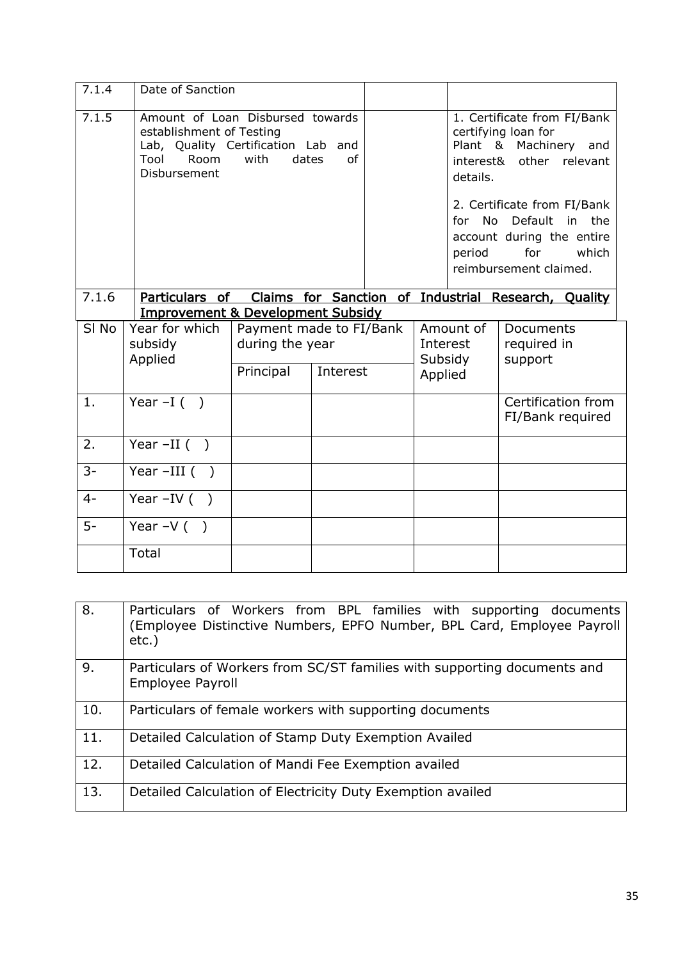| 7.1.4            | Date of Sanction                                                                                                                          |                                                         |             |                                |                                        |                                                                                                                                                                                                                             |
|------------------|-------------------------------------------------------------------------------------------------------------------------------------------|---------------------------------------------------------|-------------|--------------------------------|----------------------------------------|-----------------------------------------------------------------------------------------------------------------------------------------------------------------------------------------------------------------------------|
| 7.1.5            | Amount of Loan Disbursed towards<br>establishment of Testing<br>Lab, Quality Certification Lab and<br><b>Room</b><br>Tool<br>Disbursement | with                                                    | of<br>dates |                                | interest&<br>details.<br>for<br>period | 1. Certificate from FI/Bank<br>certifying loan for<br>Plant & Machinery and<br>other relevant<br>2. Certificate from FI/Bank<br>No Default<br>in the<br>account during the entire<br>for<br>which<br>reimbursement claimed. |
| 7.1.6            | Particulars of<br><b>Improvement &amp; Development Subsidy</b>                                                                            |                                                         |             |                                |                                        | Claims for Sanction of Industrial Research, Quality                                                                                                                                                                         |
| SI <sub>No</sub> | Year for which<br>subsidy<br>Applied                                                                                                      | Payment made to FI/Bank<br>during the year<br>Principal | Interest    | Interest<br>Subsidy<br>Applied | Amount of                              | <b>Documents</b><br>required in<br>support                                                                                                                                                                                  |
| 1.               | Year $-I( )$                                                                                                                              |                                                         |             |                                |                                        | Certification from<br>FI/Bank required                                                                                                                                                                                      |
| 2.               | Year $-II$ ( )                                                                                                                            |                                                         |             |                                |                                        |                                                                                                                                                                                                                             |
| $3-$             | Year $-III$ ()                                                                                                                            |                                                         |             |                                |                                        |                                                                                                                                                                                                                             |
| $4-$             | Year $-IV$ ( )                                                                                                                            |                                                         |             |                                |                                        |                                                                                                                                                                                                                             |
| $5-$             | Year $-V( )$                                                                                                                              |                                                         |             |                                |                                        |                                                                                                                                                                                                                             |
|                  | Total                                                                                                                                     |                                                         |             |                                |                                        |                                                                                                                                                                                                                             |

| 8.  | Particulars of Workers from BPL families with supporting documents<br>(Employee Distinctive Numbers, EPFO Number, BPL Card, Employee Payroll<br>$etc.$ ) |
|-----|----------------------------------------------------------------------------------------------------------------------------------------------------------|
| 9.  | Particulars of Workers from SC/ST families with supporting documents and<br>Employee Payroll                                                             |
| 10. | Particulars of female workers with supporting documents                                                                                                  |
| 11. | Detailed Calculation of Stamp Duty Exemption Availed                                                                                                     |
| 12. | Detailed Calculation of Mandi Fee Exemption availed                                                                                                      |
| 13. | Detailed Calculation of Electricity Duty Exemption availed                                                                                               |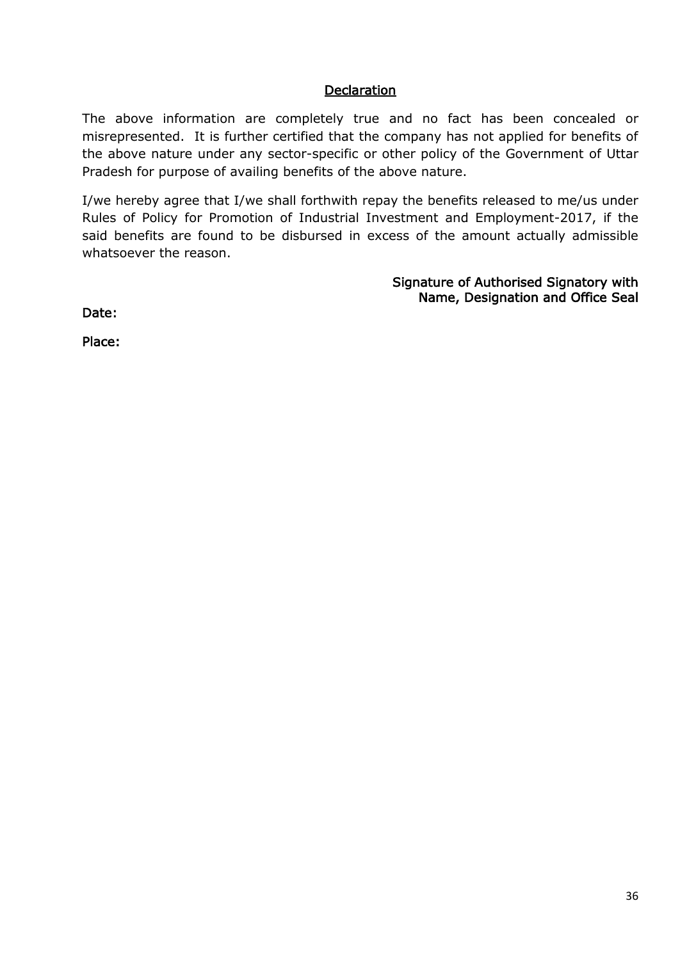## **Declaration**

The above information are completely true and no fact has been concealed or misrepresented. It is further certified that the company has not applied for benefits of the above nature under any sector-specific or other policy of the Government of Uttar Pradesh for purpose of availing benefits of the above nature.

I/we hereby agree that I/we shall forthwith repay the benefits released to me/us under Rules of Policy for Promotion of Industrial Investment and Employment-2017, if the said benefits are found to be disbursed in excess of the amount actually admissible whatsoever the reason.

> Signature of Authorised Signatory with Name, Designation and Office Seal

Date:

Place: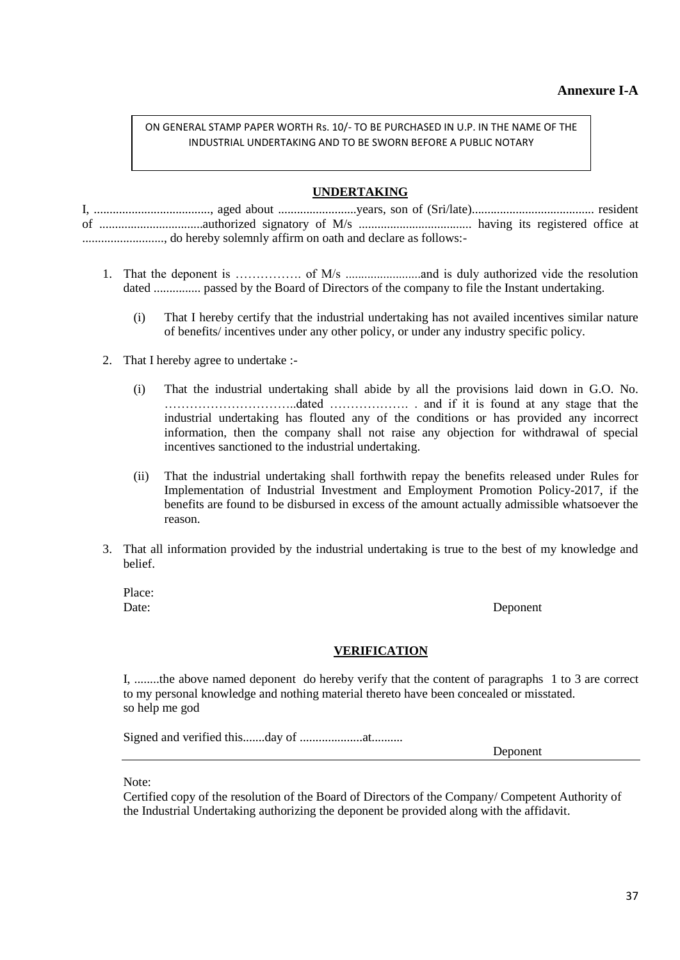## **Annexure I-A**

#### ON GENERAL STAMP PAPER WORTH Rs. 10/- TO BE PURCHASED IN U.P. IN THE NAME OF THE INDUSTRIAL UNDERTAKING AND TO BE SWORN BEFORE A PUBLIC NOTARY

#### **UNDERTAKING**

- 1. That the deponent is ……………. of M/s ........................and is duly authorized vide the resolution dated ............... passed by the Board of Directors of the company to file the Instant undertaking.
	- (i) That I hereby certify that the industrial undertaking has not availed incentives similar nature of benefits/ incentives under any other policy, or under any industry specific policy.
- 2. That I hereby agree to undertake :-
	- (i) That the industrial undertaking shall abide by all the provisions laid down in G.O. No. …………………………..dated ………………. . and if it is found at any stage that the industrial undertaking has flouted any of the conditions or has provided any incorrect information, then the company shall not raise any objection for withdrawal of special incentives sanctioned to the industrial undertaking.
	- (ii) That the industrial undertaking shall forthwith repay the benefits released under Rules for Implementation of Industrial Investment and Employment Promotion Policy-2017, if the benefits are found to be disbursed in excess of the amount actually admissible whatsoever the reason.
- 3. That all information provided by the industrial undertaking is true to the best of my knowledge and belief.

Place:

Date: Deponent

#### **VERIFICATION**

I, ........the above named deponent do hereby verify that the content of paragraphs 1 to 3 are correct to my personal knowledge and nothing material thereto have been concealed or misstated. so help me god

Signed and verified this.......day of ....................at..........

Deponent

Note:

Certified copy of the resolution of the Board of Directors of the Company/ Competent Authority of the Industrial Undertaking authorizing the deponent be provided along with the affidavit.